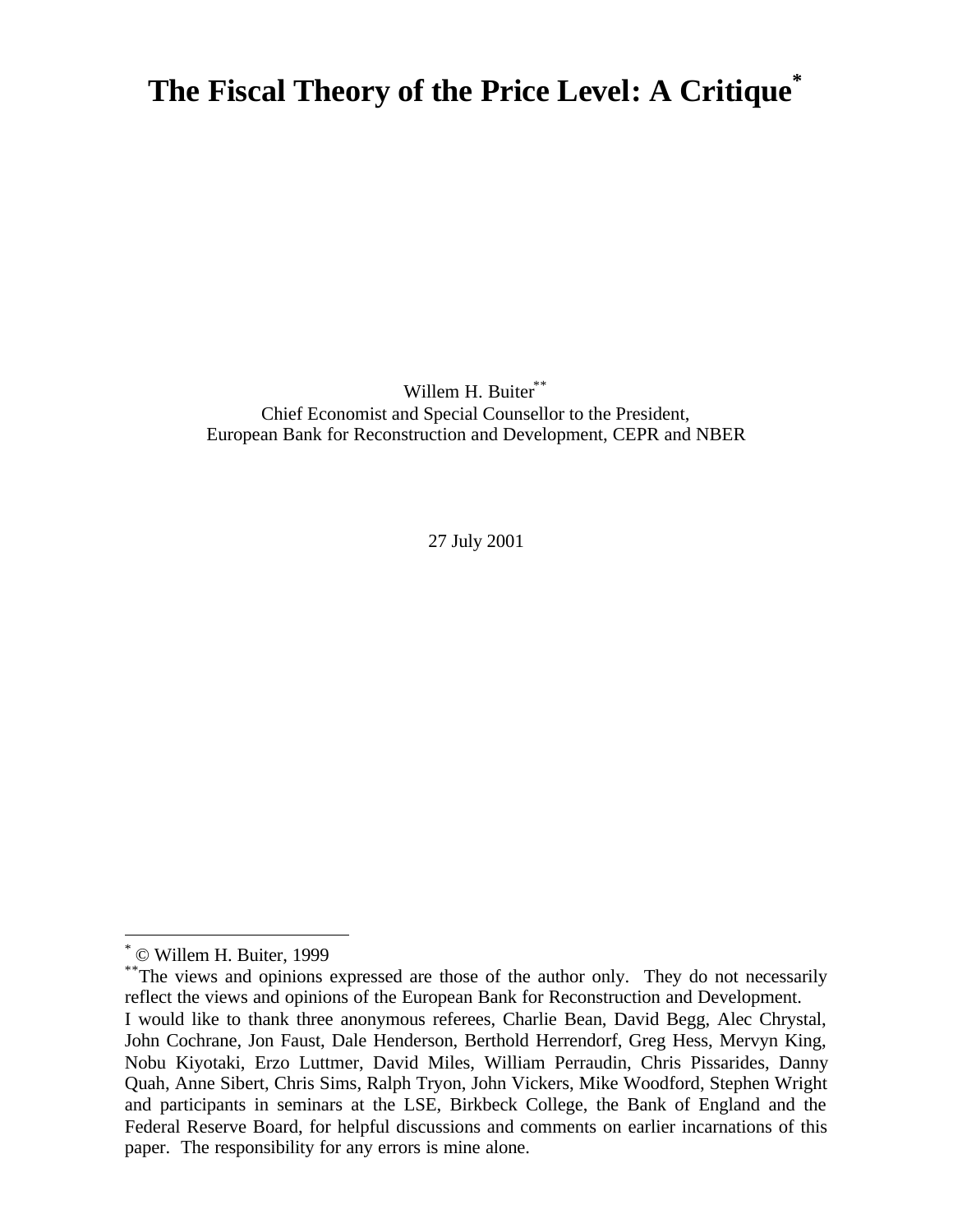# **The Fiscal Theory of the Price Level: A Critique\***

Willem H. Buiter\*\* Chief Economist and Special Counsellor to the President, European Bank for Reconstruction and Development, CEPR and NBER

27 July 2001

 $\overline{a}$ 

 $\circ$  Willem H. Buiter, 1999

<sup>&</sup>lt;sup>\*\*</sup>The views and opinions expressed are those of the author only. They do not necessarily reflect the views and opinions of the European Bank for Reconstruction and Development. I would like to thank three anonymous referees, Charlie Bean, David Begg, Alec Chrystal, John Cochrane, Jon Faust, Dale Henderson, Berthold Herrendorf, Greg Hess, Mervyn King, Nobu Kiyotaki, Erzo Luttmer, David Miles, William Perraudin, Chris Pissarides, Danny Quah, Anne Sibert, Chris Sims, Ralph Tryon, John Vickers, Mike Woodford, Stephen Wright and participants in seminars at the LSE, Birkbeck College, the Bank of England and the Federal Reserve Board, for helpful discussions and comments on earlier incarnations of this paper. The responsibility for any errors is mine alone.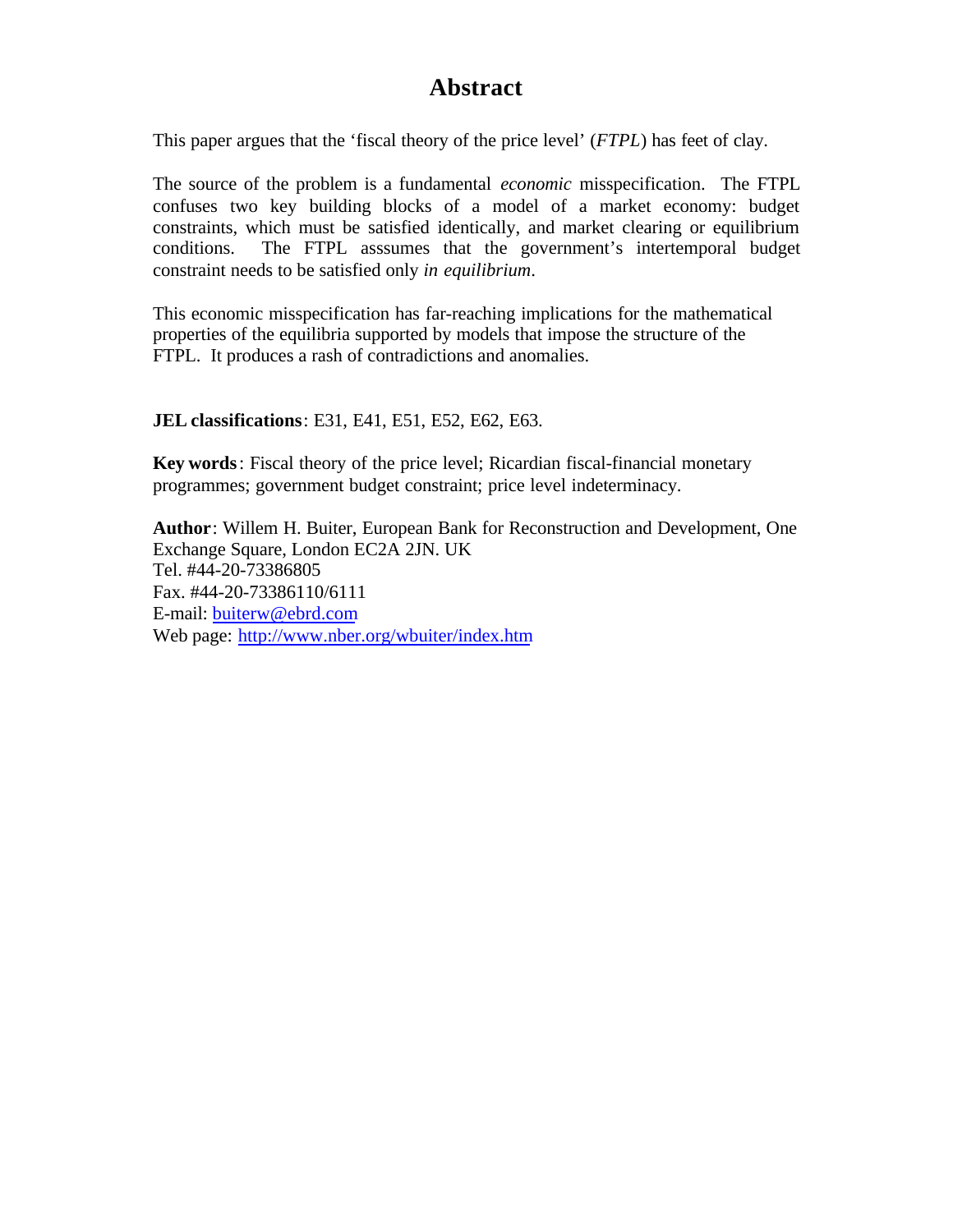# **Abstract**

This paper argues that the 'fiscal theory of the price level' (*FTPL*) has feet of clay.

The source of the problem is a fundamental *economic* misspecification. The FTPL confuses two key building blocks of a model of a market economy: budget constraints, which must be satisfied identically, and market clearing or equilibrium conditions. The FTPL asssumes that the government's intertemporal budget constraint needs to be satisfied only *in equilibrium*.

This economic misspecification has far-reaching implications for the mathematical properties of the equilibria supported by models that impose the structure of the FTPL. It produces a rash of contradictions and anomalies.

**JEL classifications**: E31, E41, E51, E52, E62, E63.

**Key words**: Fiscal theory of the price level; Ricardian fiscal-financial monetary programmes; government budget constraint; price level indeterminacy.

**Author**: Willem H. Buiter, European Bank for Reconstruction and Development, One Exchange Square, London EC2A 2JN. UK Tel. #44-20-73386805 Fax. #44-20-73386110/6111 E-mail: buiterw@ebrd.com Web page: http://www.nber.org/wbuiter/index.htm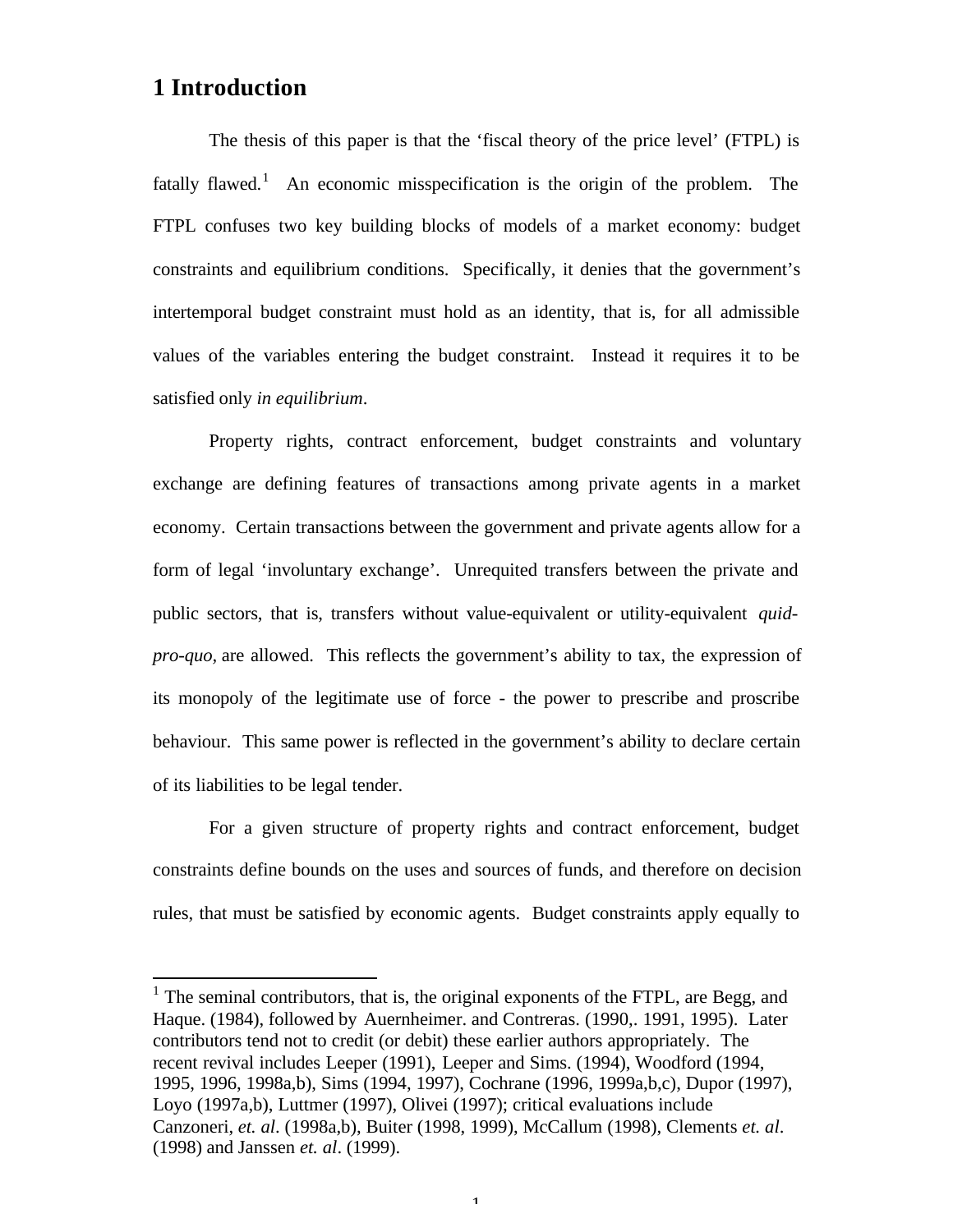## **1 Introduction**

The thesis of this paper is that the 'fiscal theory of the price level' (FTPL) is fatally flawed.<sup>1</sup> An economic misspecification is the origin of the problem. The FTPL confuses two key building blocks of models of a market economy: budget constraints and equilibrium conditions. Specifically, it denies that the government's intertemporal budget constraint must hold as an identity, that is, for all admissible values of the variables entering the budget constraint. Instead it requires it to be satisfied only *in equilibrium*.

Property rights, contract enforcement, budget constraints and voluntary exchange are defining features of transactions among private agents in a market economy. Certain transactions between the government and private agents allow for a form of legal 'involuntary exchange'. Unrequited transfers between the private and public sectors, that is, transfers without value-equivalent or utility-equivalent *quidpro-quo,* are allowed. This reflects the government's ability to tax, the expression of its monopoly of the legitimate use of force - the power to prescribe and proscribe behaviour. This same power is reflected in the government's ability to declare certain of its liabilities to be legal tender.

For a given structure of property rights and contract enforcement, budget constraints define bounds on the uses and sources of funds, and therefore on decision rules, that must be satisfied by economic agents. Budget constraints apply equally to

<sup>&</sup>lt;sup>1</sup> The seminal contributors, that is, the original exponents of the FTPL, are Begg, and Haque. (1984), followed by Auernheimer. and Contreras. (1990,. 1991, 1995). Later contributors tend not to credit (or debit) these earlier authors appropriately. The recent revival includes Leeper (1991), Leeper and Sims. (1994), Woodford (1994, 1995, 1996, 1998a,b), Sims (1994, 1997), Cochrane (1996, 1999a,b,c), Dupor (1997), Loyo (1997a,b), Luttmer (1997), Olivei (1997); critical evaluations include Canzoneri, *et. al*. (1998a,b), Buiter (1998, 1999), McCallum (1998), Clements *et. al*. (1998) and Janssen *et. al*. (1999).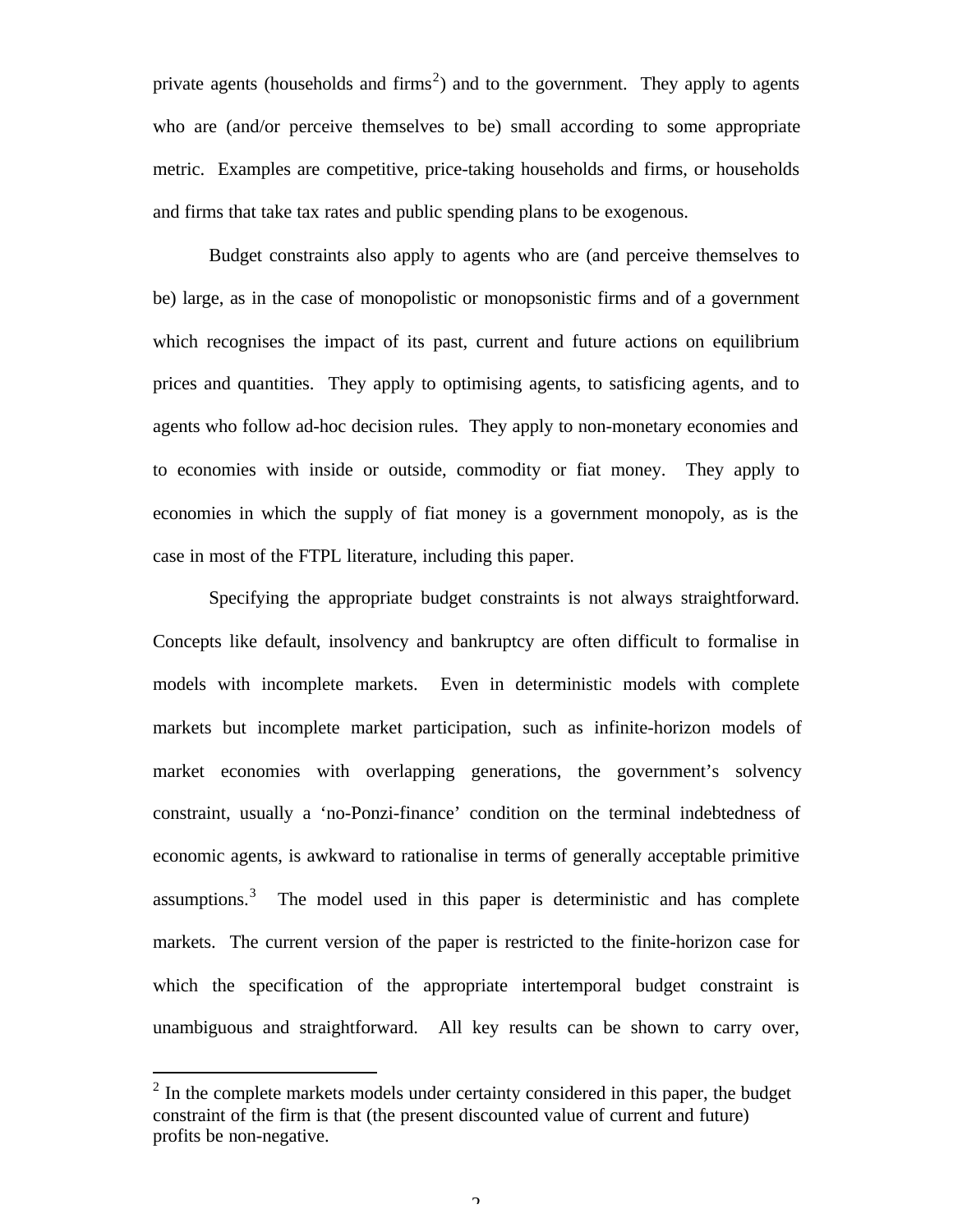private agents (households and firms<sup>2</sup>) and to the government. They apply to agents who are (and/or perceive themselves to be) small according to some appropriate metric. Examples are competitive, price-taking households and firms, or households and firms that take tax rates and public spending plans to be exogenous.

Budget constraints also apply to agents who are (and perceive themselves to be) large, as in the case of monopolistic or monopsonistic firms and of a government which recognises the impact of its past, current and future actions on equilibrium prices and quantities. They apply to optimising agents, to satisficing agents, and to agents who follow ad-hoc decision rules. They apply to non-monetary economies and to economies with inside or outside, commodity or fiat money. They apply to economies in which the supply of fiat money is a government monopoly, as is the case in most of the FTPL literature, including this paper.

Specifying the appropriate budget constraints is not always straightforward. Concepts like default, insolvency and bankruptcy are often difficult to formalise in models with incomplete markets. Even in deterministic models with complete markets but incomplete market participation, such as infinite-horizon models of market economies with overlapping generations, the government's solvency constraint, usually a 'no-Ponzi-finance' condition on the terminal indebtedness of economic agents, is awkward to rationalise in terms of generally acceptable primitive assumptions. $3$  The model used in this paper is deterministic and has complete markets. The current version of the paper is restricted to the finite-horizon case for which the specification of the appropriate intertemporal budget constraint is unambiguous and straightforward. All key results can be shown to carry over,

 $\overline{a}$ 

 $2 \text{ In the complete markets models under certainty considered in this paper, the budget.}$ constraint of the firm is that (the present discounted value of current and future) profits be non-negative.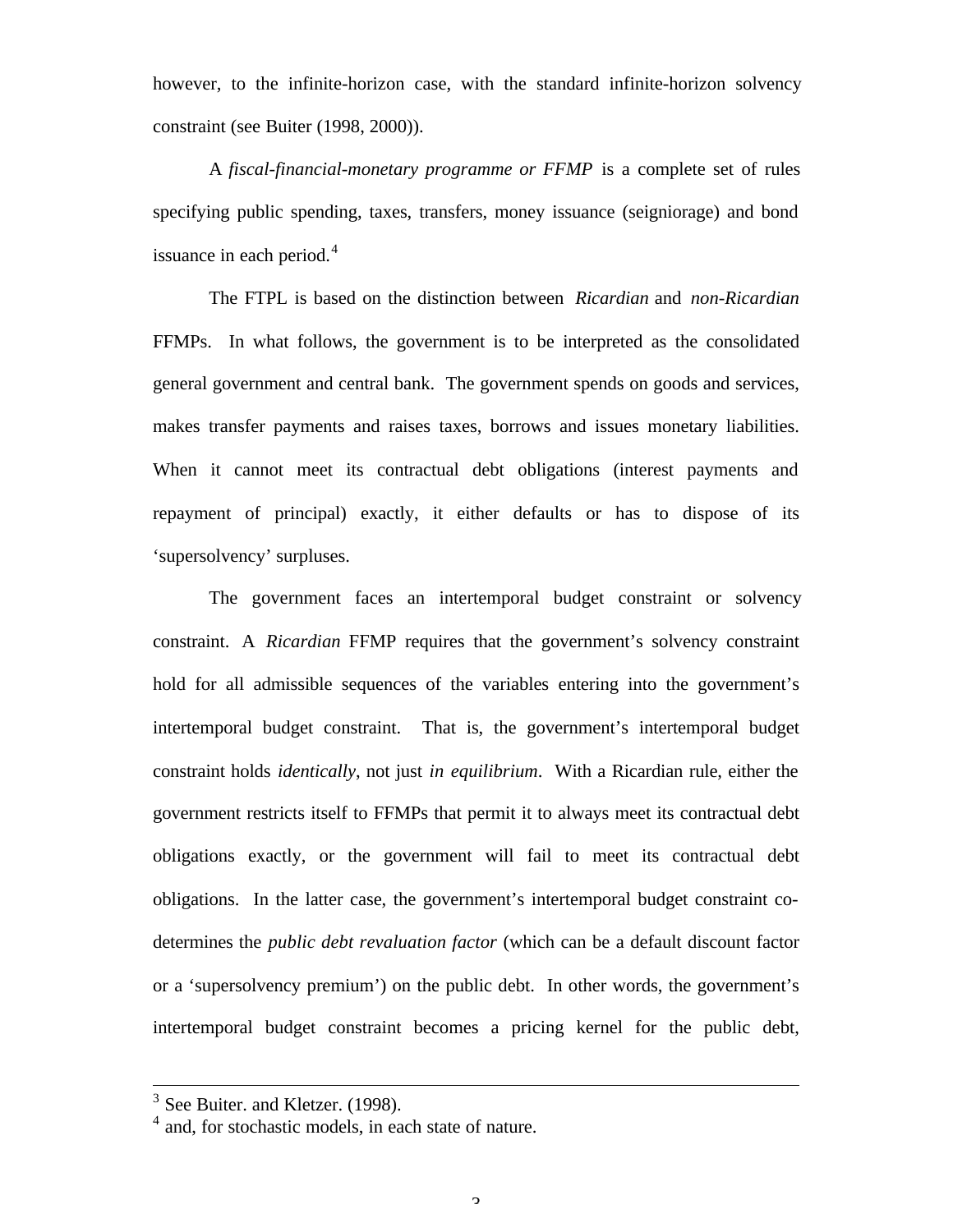however, to the infinite-horizon case, with the standard infinite-horizon solvency constraint (see Buiter (1998, 2000)).

A *fiscal-financial-monetary programme or FFMP* is a complete set of rules specifying public spending, taxes, transfers, money issuance (seigniorage) and bond issuance in each period. $4$ 

The FTPL is based on the distinction between *Ricardian* and *non-Ricardian* FFMPs. In what follows, the government is to be interpreted as the consolidated general government and central bank. The government spends on goods and services, makes transfer payments and raises taxes, borrows and issues monetary liabilities. When it cannot meet its contractual debt obligations (interest payments and repayment of principal) exactly, it either defaults or has to dispose of its 'supersolvency' surpluses.

The government faces an intertemporal budget constraint or solvency constraint. A *Ricardian* FFMP requires that the government's solvency constraint hold for all admissible sequences of the variables entering into the government's intertemporal budget constraint. That is, the government's intertemporal budget constraint holds *identically*, not just *in equilibrium*. With a Ricardian rule, either the government restricts itself to FFMPs that permit it to always meet its contractual debt obligations exactly, or the government will fail to meet its contractual debt obligations. In the latter case, the government's intertemporal budget constraint codetermines the *public debt revaluation factor* (which can be a default discount factor or a 'supersolvency premium') on the public debt. In other words, the government's intertemporal budget constraint becomes a pricing kernel for the public debt,

 $3$  See Buiter. and Kletzer. (1998).

<sup>&</sup>lt;sup>4</sup> and, for stochastic models, in each state of nature.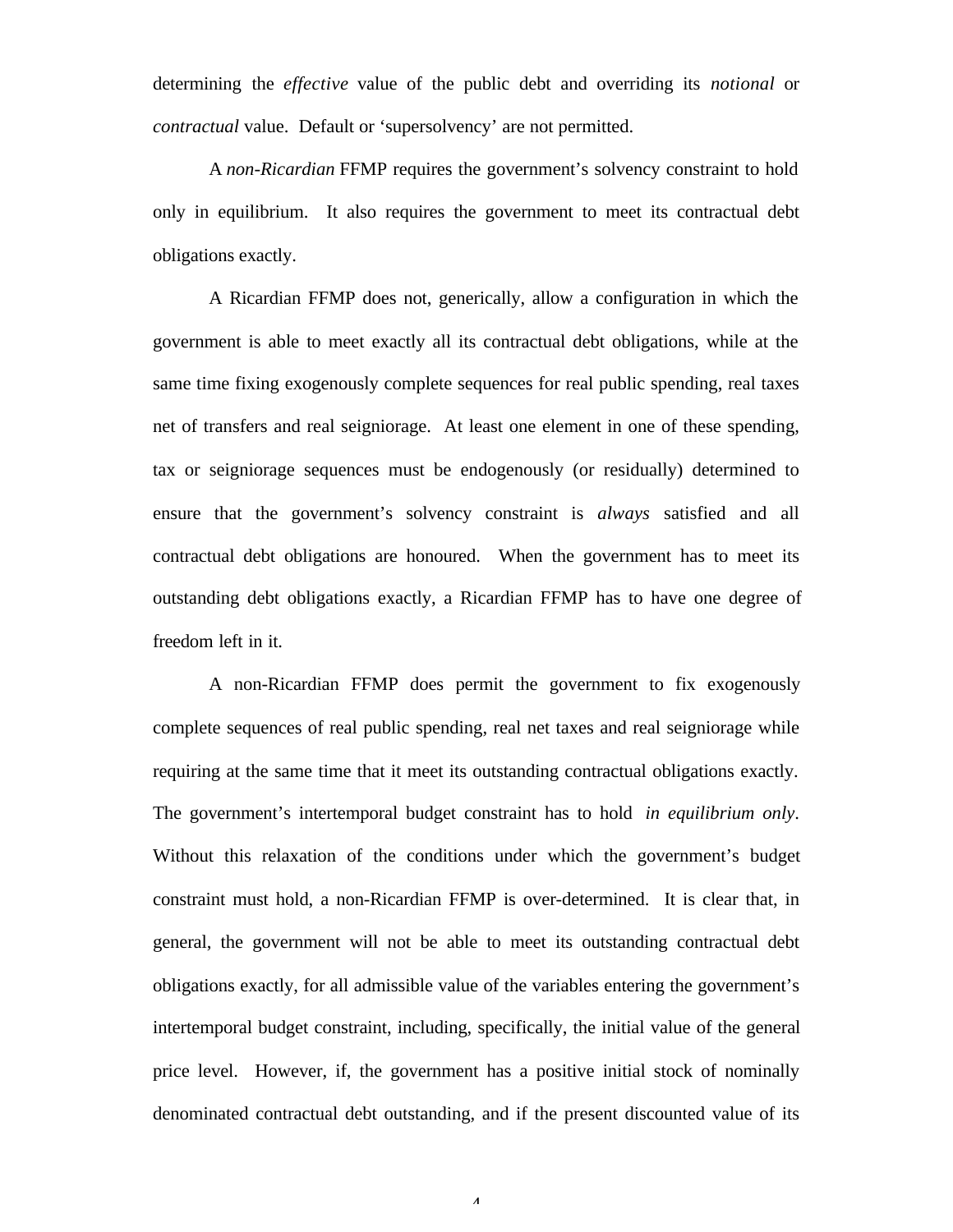determining the *effective* value of the public debt and overriding its *notional* or *contractual* value. Default or 'supersolvency' are not permitted.

A *non-Ricardian* FFMP requires the government's solvency constraint to hold only in equilibrium. It also requires the government to meet its contractual debt obligations exactly.

A Ricardian FFMP does not, generically, allow a configuration in which the government is able to meet exactly all its contractual debt obligations, while at the same time fixing exogenously complete sequences for real public spending, real taxes net of transfers and real seigniorage. At least one element in one of these spending, tax or seigniorage sequences must be endogenously (or residually) determined to ensure that the government's solvency constraint is *always* satisfied and all contractual debt obligations are honoured. When the government has to meet its outstanding debt obligations exactly, a Ricardian FFMP has to have one degree of freedom left in it.

A non-Ricardian FFMP does permit the government to fix exogenously complete sequences of real public spending, real net taxes and real seigniorage while requiring at the same time that it meet its outstanding contractual obligations exactly. The government's intertemporal budget constraint has to hold *in equilibrium only*. Without this relaxation of the conditions under which the government's budget constraint must hold, a non-Ricardian FFMP is over-determined. It is clear that, in general, the government will not be able to meet its outstanding contractual debt obligations exactly, for all admissible value of the variables entering the government's intertemporal budget constraint, including, specifically, the initial value of the general price level. However, if, the government has a positive initial stock of nominally denominated contractual debt outstanding, and if the present discounted value of its

4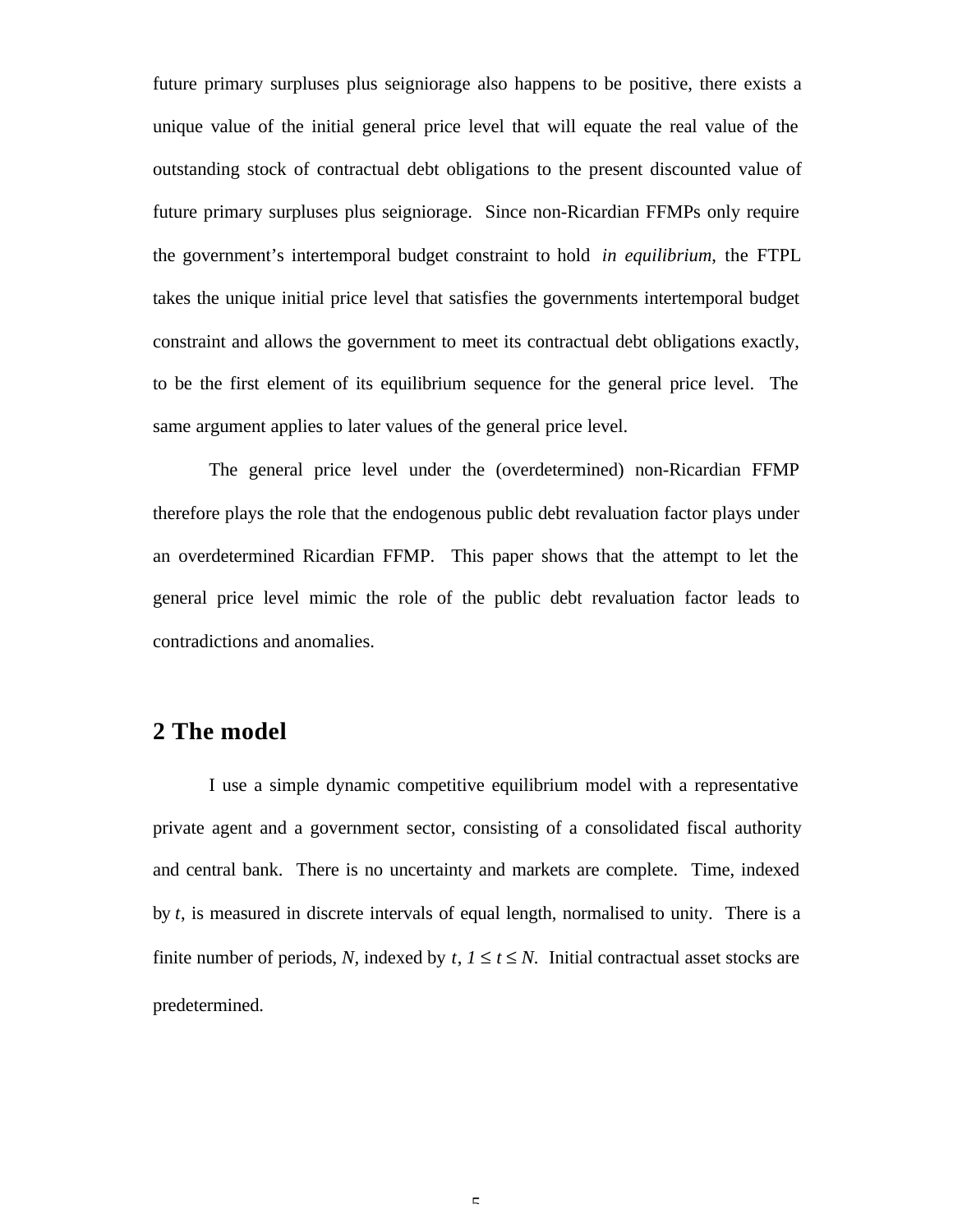future primary surpluses plus seigniorage also happens to be positive, there exists a unique value of the initial general price level that will equate the real value of the outstanding stock of contractual debt obligations to the present discounted value of future primary surpluses plus seigniorage. Since non-Ricardian FFMPs only require the government's intertemporal budget constraint to hold *in equilibrium*, the FTPL takes the unique initial price level that satisfies the governments intertemporal budget constraint and allows the government to meet its contractual debt obligations exactly, to be the first element of its equilibrium sequence for the general price level. The same argument applies to later values of the general price level.

The general price level under the (overdetermined) non-Ricardian FFMP therefore plays the role that the endogenous public debt revaluation factor plays under an overdetermined Ricardian FFMP. This paper shows that the attempt to let the general price level mimic the role of the public debt revaluation factor leads to contradictions and anomalies.

### **2 The model**

I use a simple dynamic competitive equilibrium model with a representative private agent and a government sector, consisting of a consolidated fiscal authority and central bank. There is no uncertainty and markets are complete. Time, indexed by *t*, is measured in discrete intervals of equal length, normalised to unity. There is a finite number of periods, *N*, indexed by  $t$ ,  $1 \le t \le N$ . Initial contractual asset stocks are predetermined.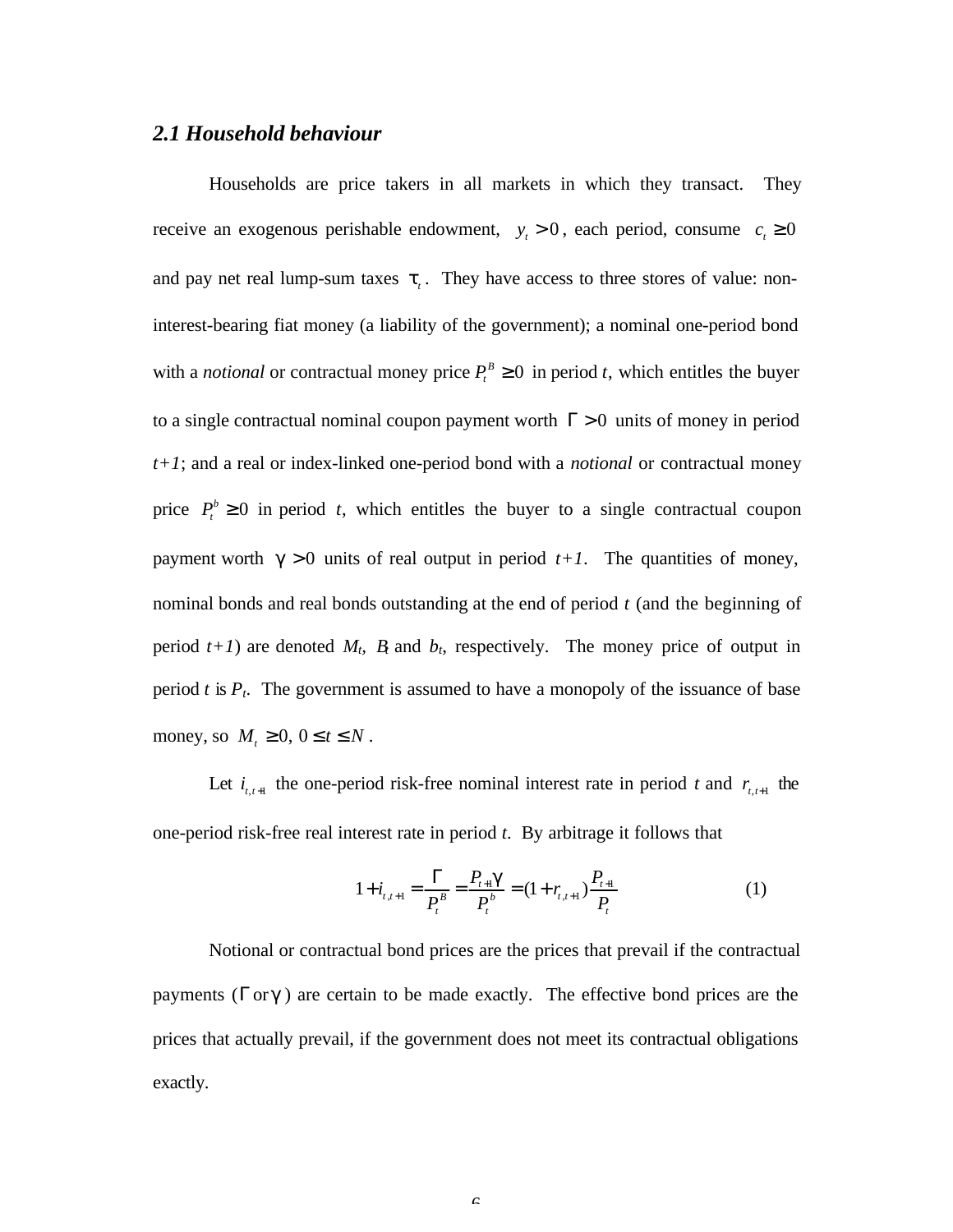### *2.1 Household behaviour*

Households are price takers in all markets in which they transact. They receive an exogenous perishable endowment,  $y_t > 0$ , each period, consume  $c_t \ge 0$ and pay net real lump-sum taxes  $t<sub>t</sub>$ . They have access to three stores of value: noninterest-bearing fiat money (a liability of the government); a nominal one-period bond with a *notional* or contractual money price  $P_t^B \ge 0$  in period *t*, which entitles the buyer to a single contractual nominal coupon payment worth  $\Gamma > 0$  units of money in period *t+1*; and a real or index-linked one-period bond with a *notional* or contractual money price  $P_t^b \ge 0$  in period *t*, which entitles the buyer to a single contractual coupon payment worth  $g > 0$  units of real output in period  $t+1$ . The quantities of money, nominal bonds and real bonds outstanding at the end of period *t* (and the beginning of period  $t+1$ ) are denoted  $M_t$ ,  $B_t$  and  $b_t$ , respectively. The money price of output in period *t* is *Pt*. The government is assumed to have a monopoly of the issuance of base money, so  $M_t \geq 0$ ,  $0 \leq t \leq N$ .

Let  $i_{t,t+1}$  the one-period risk-free nominal interest rate in period t and  $r_{t,t+1}$  the one-period risk-free real interest rate in period *t.* By arbitrage it follows that

$$
1 + i_{t,t+1} = \frac{\Gamma}{P_t^B} = \frac{P_{t+1}g}{P_t^b} = (1 + r_{t,t+1})\frac{P_{t+1}}{P_t}
$$
(1)

Notional or contractual bond prices are the prices that prevail if the contractual payments ( $\Gamma$  or  $g$ ) are certain to be made exactly. The effective bond prices are the prices that actually prevail, if the government does not meet its contractual obligations exactly.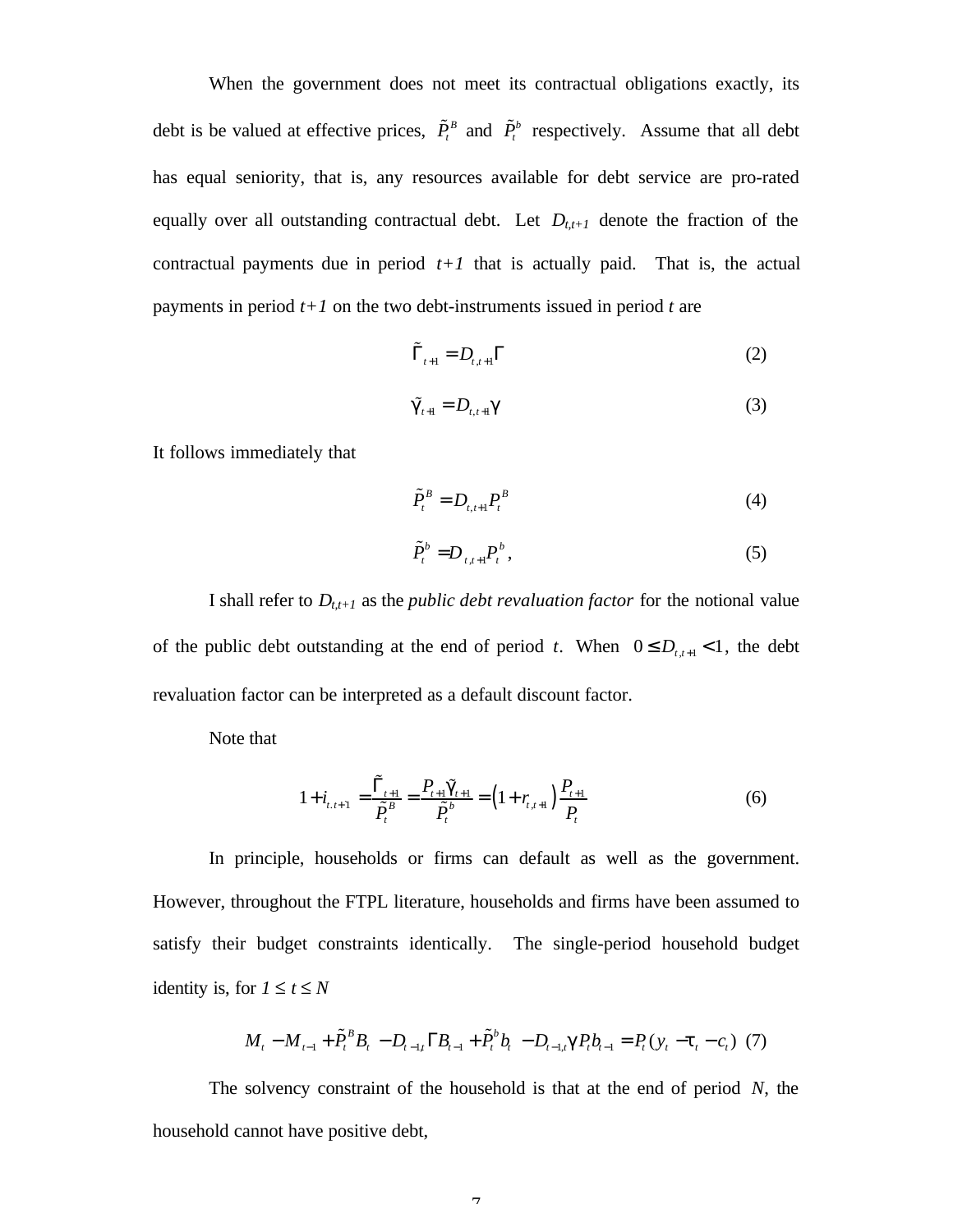When the government does not meet its contractual obligations exactly, its debt is be valued at effective prices,  $\tilde{P}_t^B$  and  $\tilde{P}_t^b$  respectively. Assume that all debt has equal seniority, that is, any resources available for debt service are pro-rated equally over all outstanding contractual debt. Let  $D_{t,t+1}$  denote the fraction of the contractual payments due in period  $t+1$  that is actually paid. That is, the actual payments in period  $t+1$  on the two debt-instruments issued in period  $t$  are

$$
\tilde{\Gamma}_{t+1} = D_{t,t+1} \Gamma \tag{2}
$$

$$
\tilde{\mathbf{g}}_{t+1} = D_{t,t+1} \mathbf{g} \tag{3}
$$

It follows immediately that

$$
\tilde{P}_t^B = D_{t,t+1} P_t^B \tag{4}
$$

$$
\tilde{P}_t^b = D_{t,t+1} P_t^b, \qquad (5)
$$

I shall refer to  $D_{t,t+1}$  as the *public debt revaluation factor* for the notional value of the public debt outstanding at the end of period *t*. When  $0 \le D_{t,t+1} < 1$ , the debt revaluation factor can be interpreted as a default discount factor.

Note that

$$
1 + i_{t,t+1} = \frac{\tilde{\Gamma}_{t+1}}{\tilde{P}_t^B} = \frac{P_{t+1}\tilde{g}_{t+1}}{\tilde{P}_t^b} = \left(1 + r_{t,t+1}\right)\frac{P_{t+1}}{P_t}
$$
(6)

In principle, households or firms can default as well as the government. However, throughout the FTPL literature, households and firms have been assumed to satisfy their budget constraints identically. The single-period household budget identity is, for  $1 \le t \le N$ 

$$
M_{t} - M_{t-1} + \tilde{P}_{t}^{B} B_{t} - D_{t-1} \Gamma B_{t-1} + \tilde{P}_{t}^{b} b_{t} - D_{t-1,t} \mathbf{g} P_{t} b_{t-1} = P_{t} (y_{t} - t_{t} - c_{t}) \tag{7}
$$

The solvency constraint of the household is that at the end of period *N*, the household cannot have positive debt,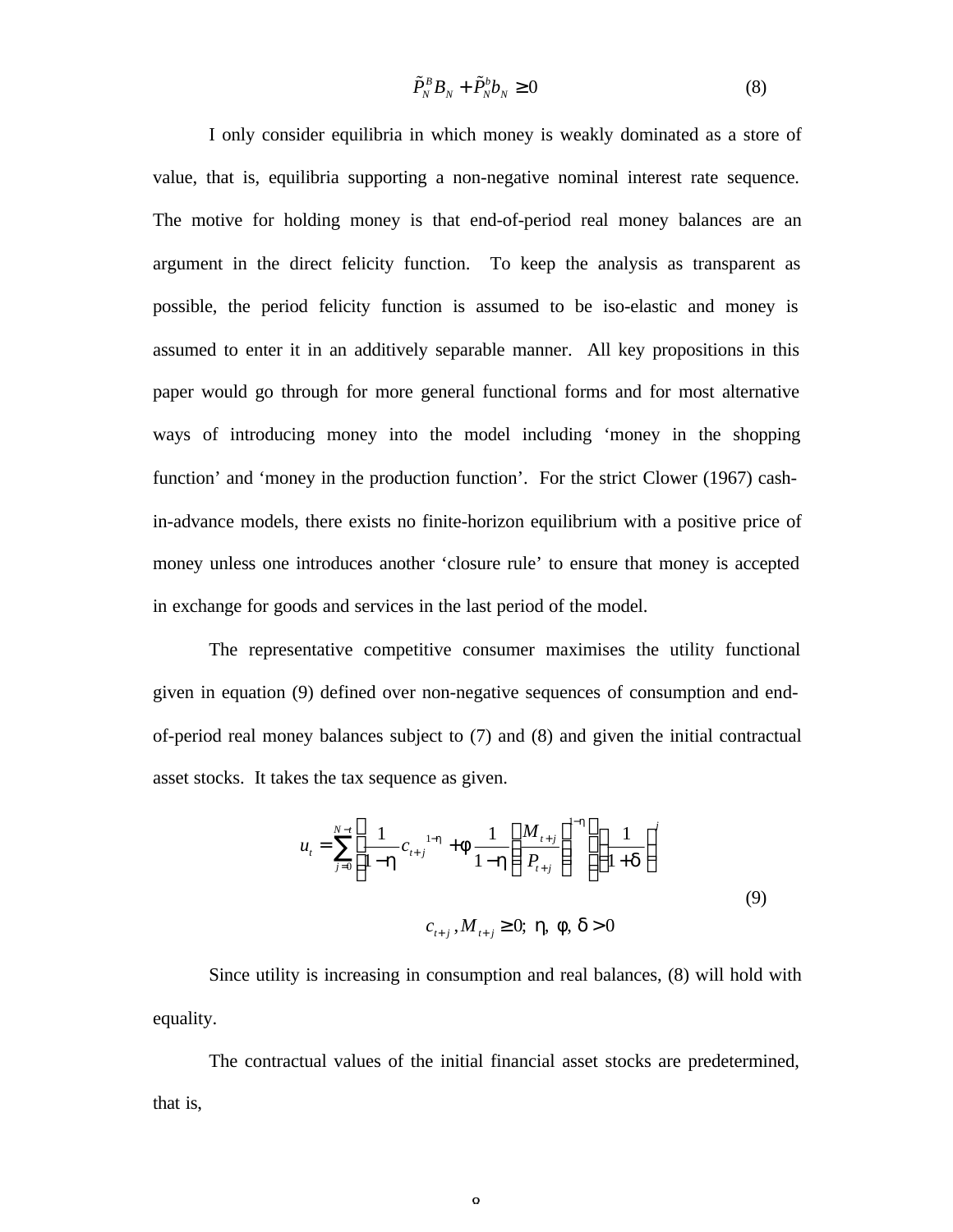$$
\tilde{P}_N^B B_N + \tilde{P}_N^b b_N \ge 0
$$
\n(8)

I only consider equilibria in which money is weakly dominated as a store of value, that is, equilibria supporting a non-negative nominal interest rate sequence. The motive for holding money is that end-of-period real money balances are an argument in the direct felicity function. To keep the analysis as transparent as possible, the period felicity function is assumed to be iso-elastic and money is assumed to enter it in an additively separable manner. All key propositions in this paper would go through for more general functional forms and for most alternative ways of introducing money into the model including 'money in the shopping function' and 'money in the production function'. For the strict Clower (1967) cashin-advance models, there exists no finite-horizon equilibrium with a positive price of money unless one introduces another 'closure rule' to ensure that money is accepted in exchange for goods and services in the last period of the model.

The representative competitive consumer maximises the utility functional given in equation (9) defined over non-negative sequences of consumption and endof-period real money balances subject to (7) and (8) and given the initial contractual asset stocks. It takes the tax sequence as given.

$$
u_{t} = \sum_{j=0}^{N-t} \left[ \frac{1}{1 - h} c_{t+j}^{1-h} + f \frac{1}{1 - h} \left( \frac{M_{t+j}}{P_{t+j}} \right)^{1-h} \right] \left( \frac{1}{1 + d} \right)^{j}
$$
  

$$
c_{t+j}, M_{t+j} \ge 0; \mathbf{h}, \mathbf{f}, \mathbf{d} > 0
$$
 (9)

Since utility is increasing in consumption and real balances, (8) will hold with equality.

The contractual values of the initial financial asset stocks are predetermined, that is,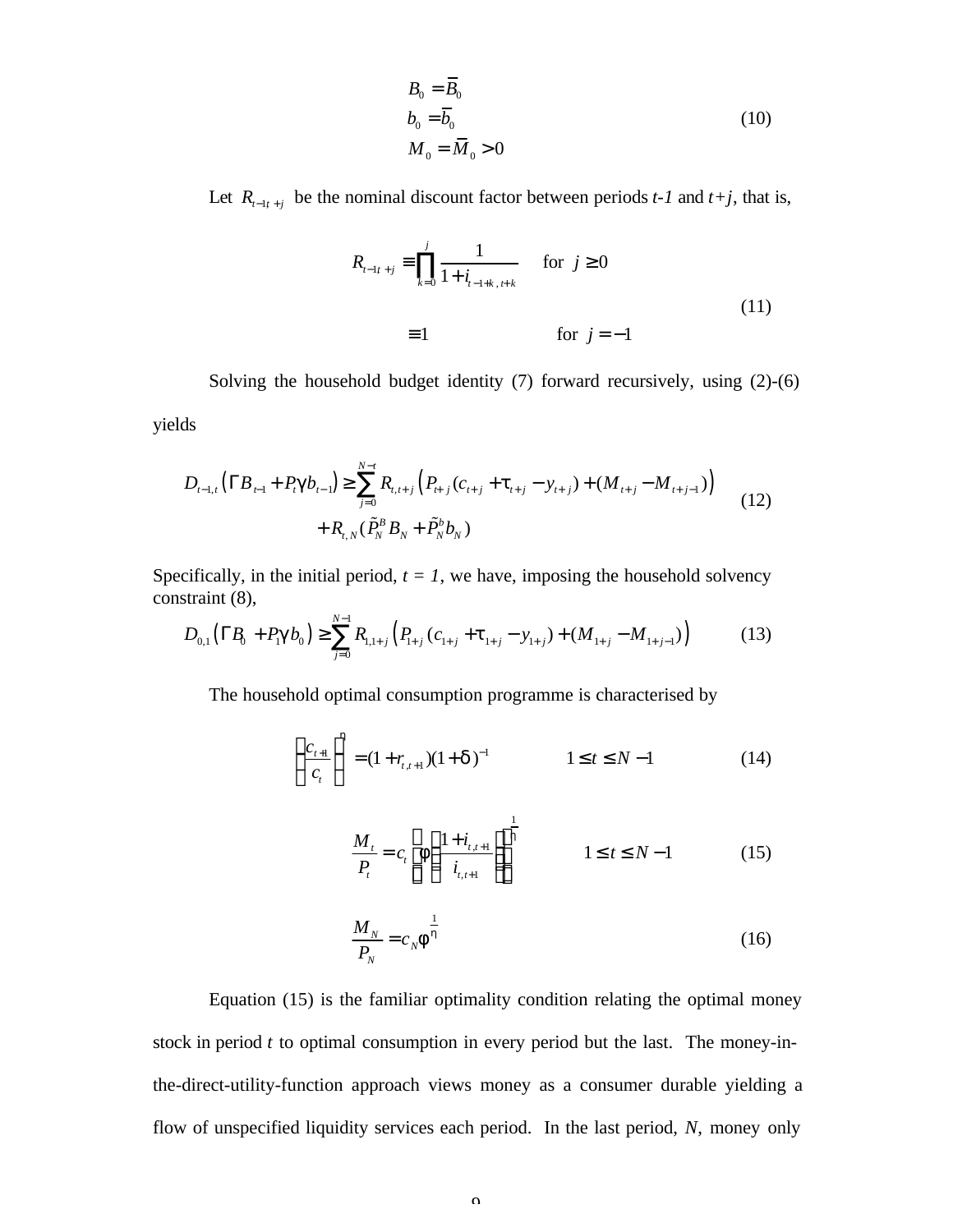$$
B_0 = \overline{B}_0
$$
  
\n
$$
b_0 = \overline{b}_0
$$
  
\n
$$
M_0 = \overline{M}_0 > 0
$$
\n(10)

Let  $R_{t-1:t+j}$  be the nominal discount factor between periods *t-1* and *t+j*, that is,

$$
R_{i-1i+j} = \prod_{k=0}^{j} \frac{1}{1 + i_{i-1+k, i+k}}
$$
 for  $j \ge 0$   
= 1 for  $j = -1$  (11)

Solving the household budget identity (7) forward recursively, using (2)-(6) yields

$$
D_{t-1,t} \left( \Gamma B_{t-1} + P_t \mathbf{g} b_{t-1} \right) \ge \sum_{j=0}^{N-t} R_{t,t+j} \left( P_{t+j} \left( c_{t+j} + \mathbf{t}_{t+j} - y_{t+j} \right) + \left( M_{t+j} - M_{t+j-1} \right) \right) + R_{t,N} \left( \tilde{P}_N^B B_N + \tilde{P}_N^b b_N \right)
$$
\n(12)

Specifically, in the initial period,  $t = 1$ , we have, imposing the household solvency constraint (8),

$$
D_{0,1}(\Gamma P_0 + P_{\mathbf{S}} \mathbf{B}_0) \ge \sum_{j=0}^{N-1} R_{1,1+j} (P_{1+j} (c_{1+j} + \mathbf{t}_{1+j} - y_{1+j}) + (M_{1+j} - M_{1+j-1})) \tag{13}
$$

The household optimal consumption programme is characterised by

$$
\left(\frac{c_{t+1}}{c_t}\right)^h = (1 + r_{t,t+1})(1 + d)^{-1} \qquad 1 \le t \le N - 1 \qquad (14)
$$

$$
\frac{M_t}{P_t} = c_t \left[ f \left( \frac{1 + i_{t, t+1}}{i_{t, t+1}} \right) \right]^{\frac{1}{h}} \qquad 1 \le t \le N - 1 \qquad (15)
$$

$$
\frac{M_N}{P_N} = c_N \mathbf{f}^{\frac{1}{h}}
$$
\n(16)

Equation (15) is the familiar optimality condition relating the optimal money stock in period *t* to optimal consumption in every period but the last. The money-inthe-direct-utility-function approach views money as a consumer durable yielding a flow of unspecified liquidity services each period. In the last period, *N*, money only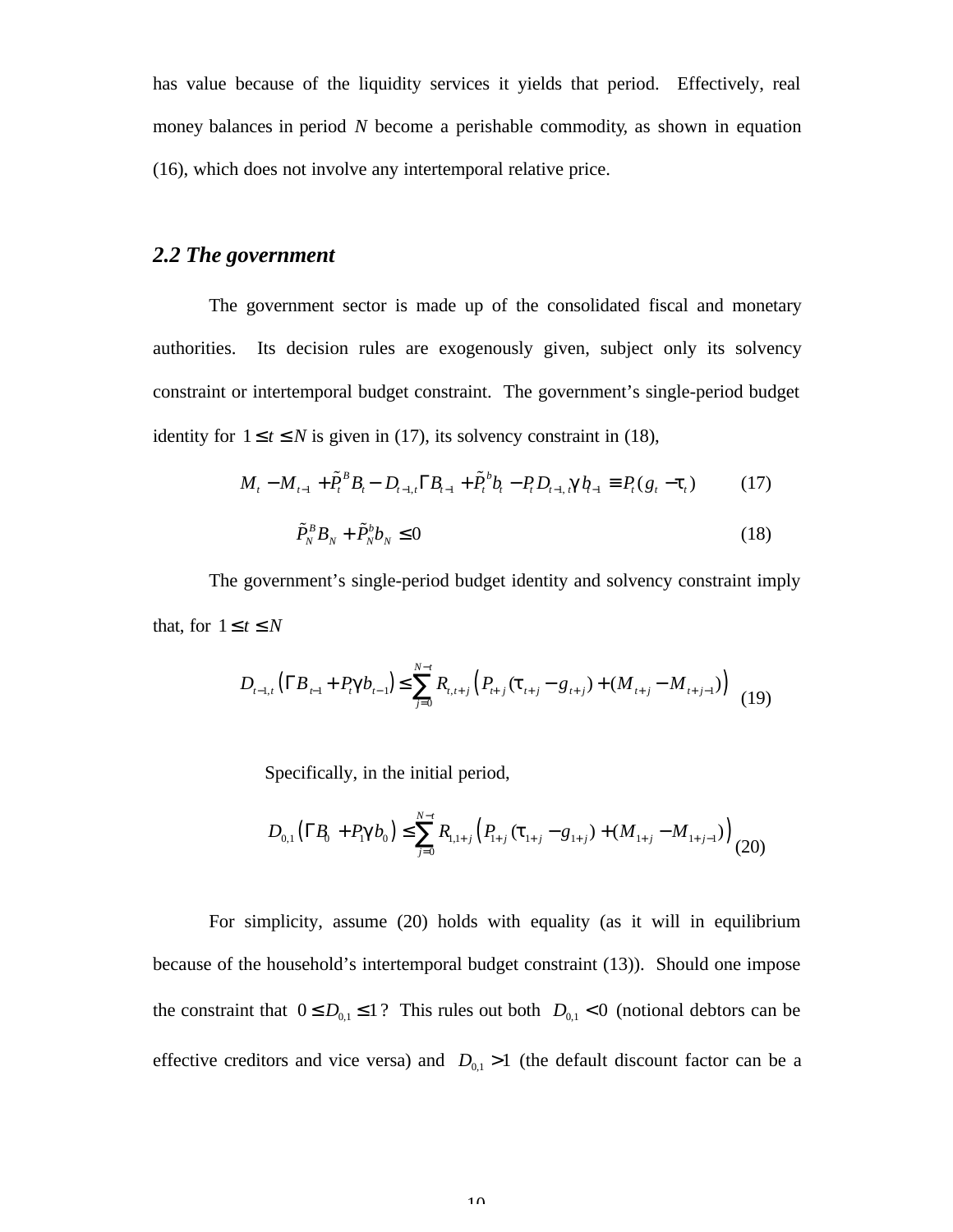has value because of the liquidity services it yields that period. Effectively, real money balances in period *N* become a perishable commodity*,* as shown in equation (16), which does not involve any intertemporal relative price.

### *2.2 The government*

The government sector is made up of the consolidated fiscal and monetary authorities. Its decision rules are exogenously given, subject only its solvency constraint or intertemporal budget constraint. The government's single-period budget identity for  $1 \le t \le N$  is given in (17), its solvency constraint in (18),

$$
M_{t} - M_{t-1} + \tilde{P}_{t}^{B} B_{t} - D_{t-1,t} \Gamma B_{t-1} + \tilde{P}_{t}^{B} b_{t} - P_{t} D_{t-1,t} \mathbf{g} b_{t-1} \equiv P_{t} (g_{t} - \mathbf{t}_{t}) \tag{17}
$$

$$
\tilde{P}_N^B B_N + \tilde{P}_N^b b_N \le 0 \tag{18}
$$

The government's single-period budget identity and solvency constraint imply that, for  $1 \le t \le N$ 

$$
D_{t-1,t} \left( \Gamma B_{t-1} + P_t \mathbf{g} b_{t-1} \right) \le \sum_{j=0}^{N-t} R_{t,t+j} \left( P_{t+j} \left( \mathbf{t}_{t+j} - g_{t+j} \right) + \left( M_{t+j} - M_{t+j-1} \right) \right) \tag{19}
$$

Specifically, in the initial period,

$$
D_{0,1}(\Gamma B_0 + P_{\mathbf{1}}\mathbf{g} b_0) \leq \sum_{j=0}^{N-t} R_{1,1+j} (P_{1+j}(\mathbf{t}_{1+j} - g_{1+j}) + (M_{1+j} - M_{1+j-1}))
$$
(20)

For simplicity, assume (20) holds with equality (as it will in equilibrium because of the household's intertemporal budget constraint (13)). Should one impose the constraint that  $0 \le D_{0,1} \le 1$ ? This rules out both  $D_{0,1} < 0$  (notional debtors can be effective creditors and vice versa) and  $D_{0,1} > 1$  (the default discount factor can be a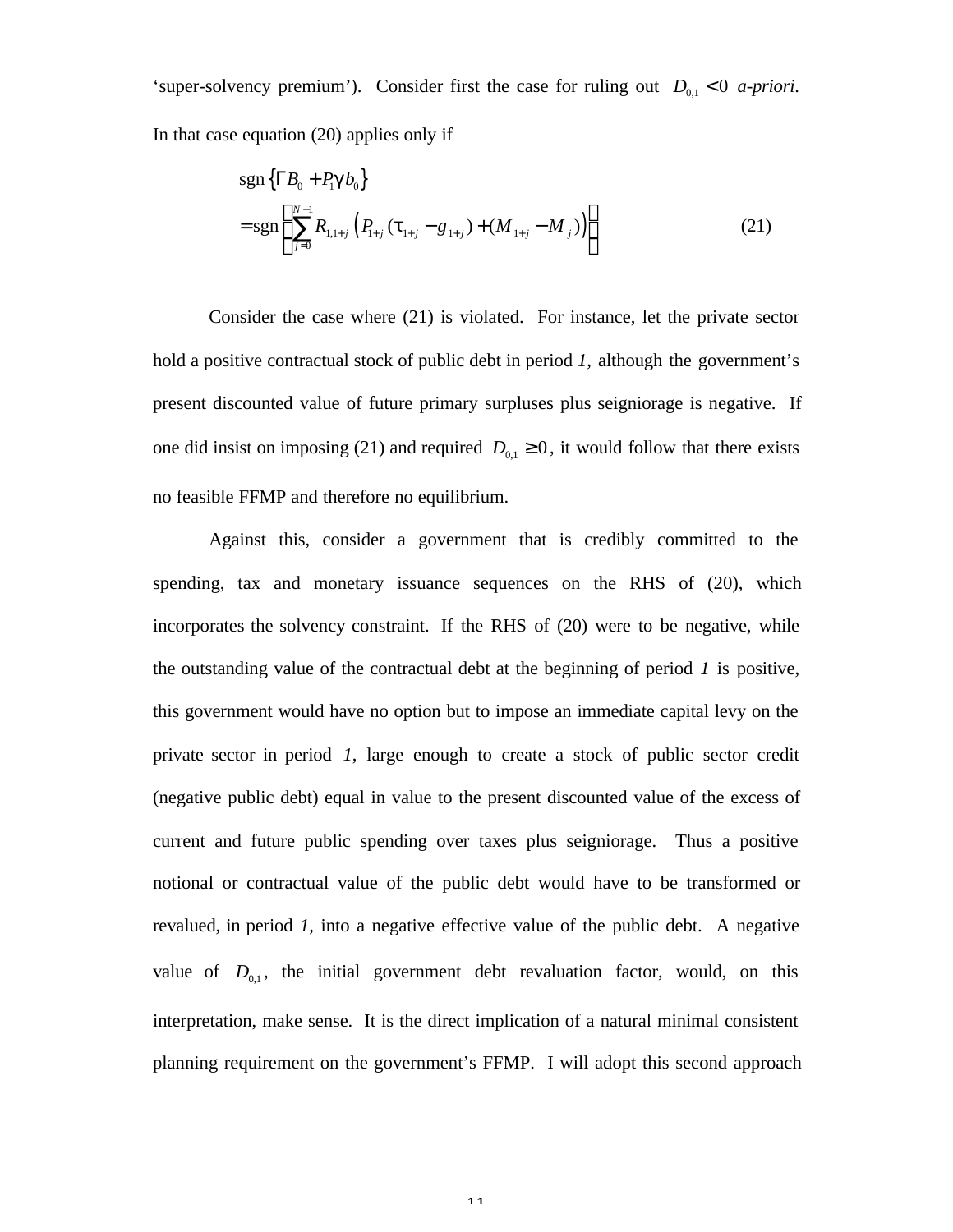'super-solvency premium'). Consider first the case for ruling out  $D_{0,1} < 0$  *a-priori*. In that case equation (20) applies only if

$$
sgn\left\{ \Gamma B_{0} + P_{i} \mathbf{g} b_{0} \right\}
$$
  
= 
$$
sgn\left\{ \sum_{j=0}^{N-1} R_{1,1+j} \left( P_{1+j} \left( \mathbf{t}_{1+j} - g_{1+j} \right) + \left( M_{1+j} - M_{j} \right) \right) \right\}
$$
 (21)

Consider the case where (21) is violated. For instance, let the private sector hold a positive contractual stock of public debt in period *1*, although the government's present discounted value of future primary surpluses plus seigniorage is negative. If one did insist on imposing (21) and required  $D_{0,1} \ge 0$ , it would follow that there exists no feasible FFMP and therefore no equilibrium.

Against this, consider a government that is credibly committed to the spending, tax and monetary issuance sequences on the RHS of (20), which incorporates the solvency constraint.If the RHS of (20) were to be negative, while the outstanding value of the contractual debt at the beginning of period *1* is positive, this government would have no option but to impose an immediate capital levy on the private sector in period *1*, large enough to create a stock of public sector credit (negative public debt) equal in value to the present discounted value of the excess of current and future public spending over taxes plus seigniorage. Thus a positive notional or contractual value of the public debt would have to be transformed or revalued, in period *1,* into a negative effective value of the public debt. A negative value of  $D_{0,1}$ , the initial government debt revaluation factor, would, on this interpretation, make sense. It is the direct implication of a natural minimal consistent planning requirement on the government's FFMP. I will adopt this second approach

11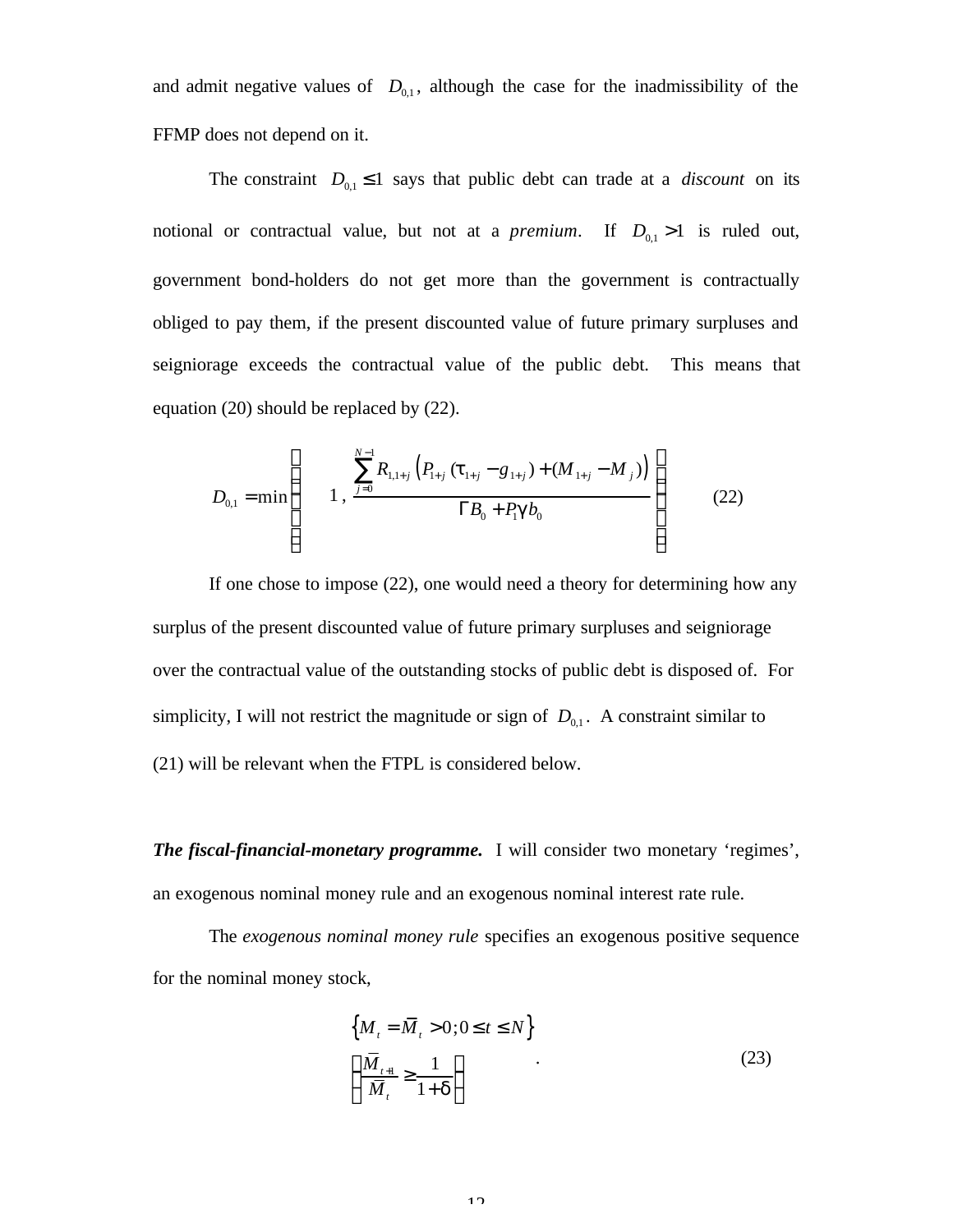and admit negative values of  $D_{0,1}$ , although the case for the inadmissibility of the FFMP does not depend on it.

The constraint  $D_{0,1} \leq 1$  says that public debt can trade at a *discount* on its notional or contractual value, but not at a *premium*. If  $D_{0,1} > 1$  is ruled out, government bond-holders do not get more than the government is contractually obliged to pay them, if the present discounted value of future primary surpluses and seigniorage exceeds the contractual value of the public debt. This means that equation (20) should be replaced by (22).

$$
D_{0,1} = \min \left\{ \begin{array}{c} \sum_{j=0}^{N-1} R_{1,1+j} \left( P_{1+j} \left( t_{1+j} - g_{1+j} \right) + \left( M_{1+j} - M_j \right) \right) \\ 1, \quad \frac{N-1}{1} \sum_{j=0}^{N-1} R_{0j} + P_{1j} g b_{0} \end{array} \right\}
$$
(22)

If one chose to impose (22), one would need a theory for determining how any surplus of the present discounted value of future primary surpluses and seigniorage over the contractual value of the outstanding stocks of public debt is disposed of. For simplicity, I will not restrict the magnitude or sign of  $D_{0,1}$ . A constraint similar to (21) will be relevant when the FTPL is considered below.

*The fiscal-financial-monetary programme.* I will consider two monetary 'regimes', an exogenous nominal money rule and an exogenous nominal interest rate rule.

The *exogenous nominal money rule* specifies an exogenous positive sequence for the nominal money stock,

$$
\left\{ M_t = \overline{M}_t > 0; 0 \le t \le N \right\}
$$
\n
$$
\left\{ \frac{\overline{M}_{t+1}}{\overline{M}_t} \ge \frac{1}{1+d} \right\}
$$
\n(23)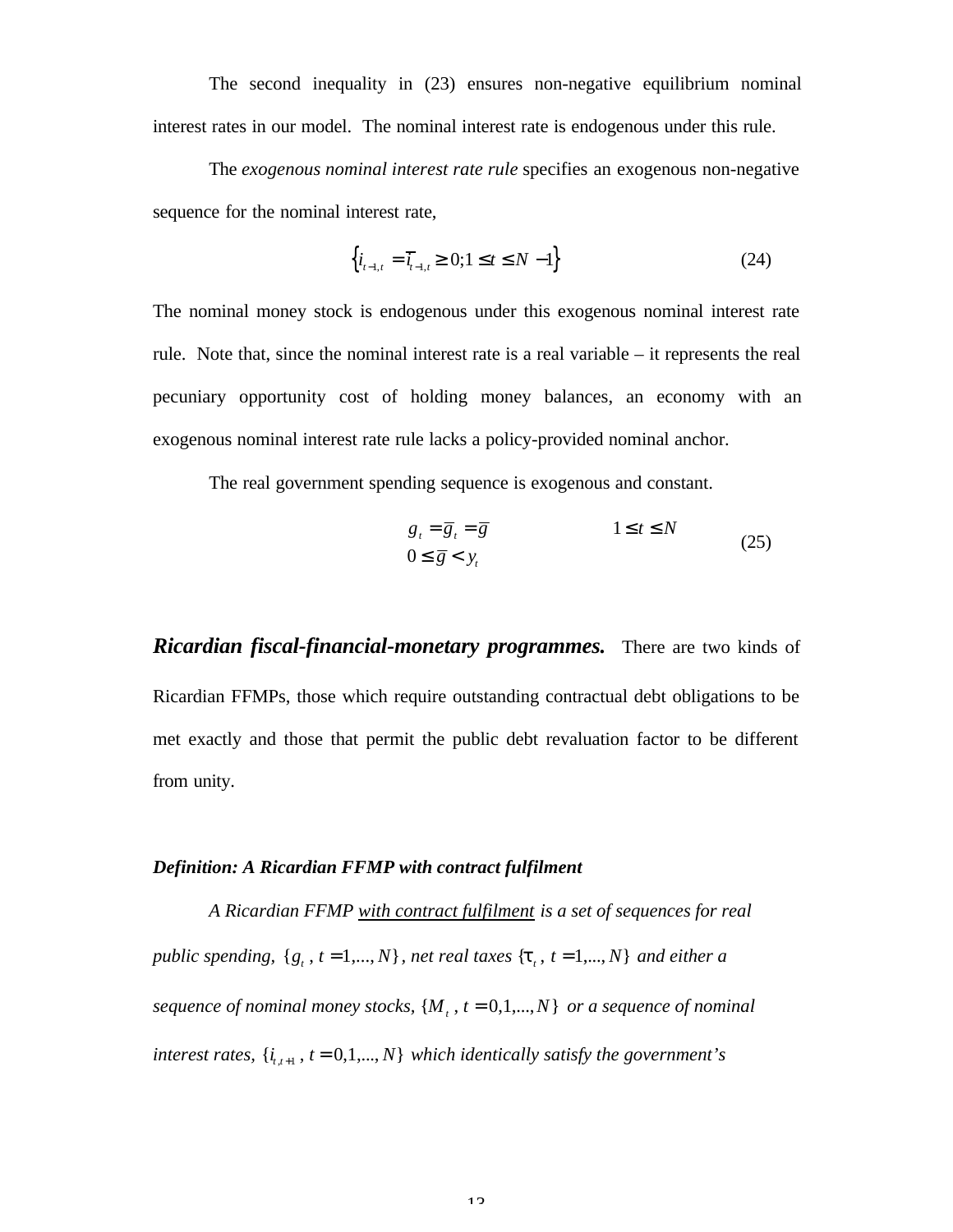The second inequality in (23) ensures non-negative equilibrium nominal interest rates in our model. The nominal interest rate is endogenous under this rule.

The *exogenous nominal interest rate rule* specifies an exogenous non-negative sequence for the nominal interest rate,

$$
\left\{ i_{t-1,t} = \overline{i}_{t-1,t} \ge 0; 1 \le t \le N - 1 \right\}
$$
 (24)

The nominal money stock is endogenous under this exogenous nominal interest rate rule. Note that, since the nominal interest rate is a real variable – it represents the real pecuniary opportunity cost of holding money balances, an economy with an exogenous nominal interest rate rule lacks a policy-provided nominal anchor.

The real government spending sequence is exogenous and constant.

$$
g_t = \overline{g}_t = \overline{g}
$$
  
\n
$$
0 \le \overline{g} < y_t
$$
  
\n
$$
(25)
$$

*Ricardian fiscal-financial-monetary programmes.* There are two kinds of Ricardian FFMPs, those which require outstanding contractual debt obligations to be met exactly and those that permit the public debt revaluation factor to be different from unity.

#### *Definition: A Ricardian FFMP with contract fulfilment*

*A Ricardian FFMP with contract fulfilment is a set of sequences for real public spending,*  $\{g_t, t = 1,..., N\}$ , *net real taxes*  $\{t_t, t = 1,..., N\}$  *and either a*  $sequence of nominal money stocks,  $\{M_t, t = 0, 1, ..., N\}$  or a sequence of nominal$ *interest rates,*  $\{i_{t,i+1}, t = 0,1,...,N\}$  *which identically satisfy the government's*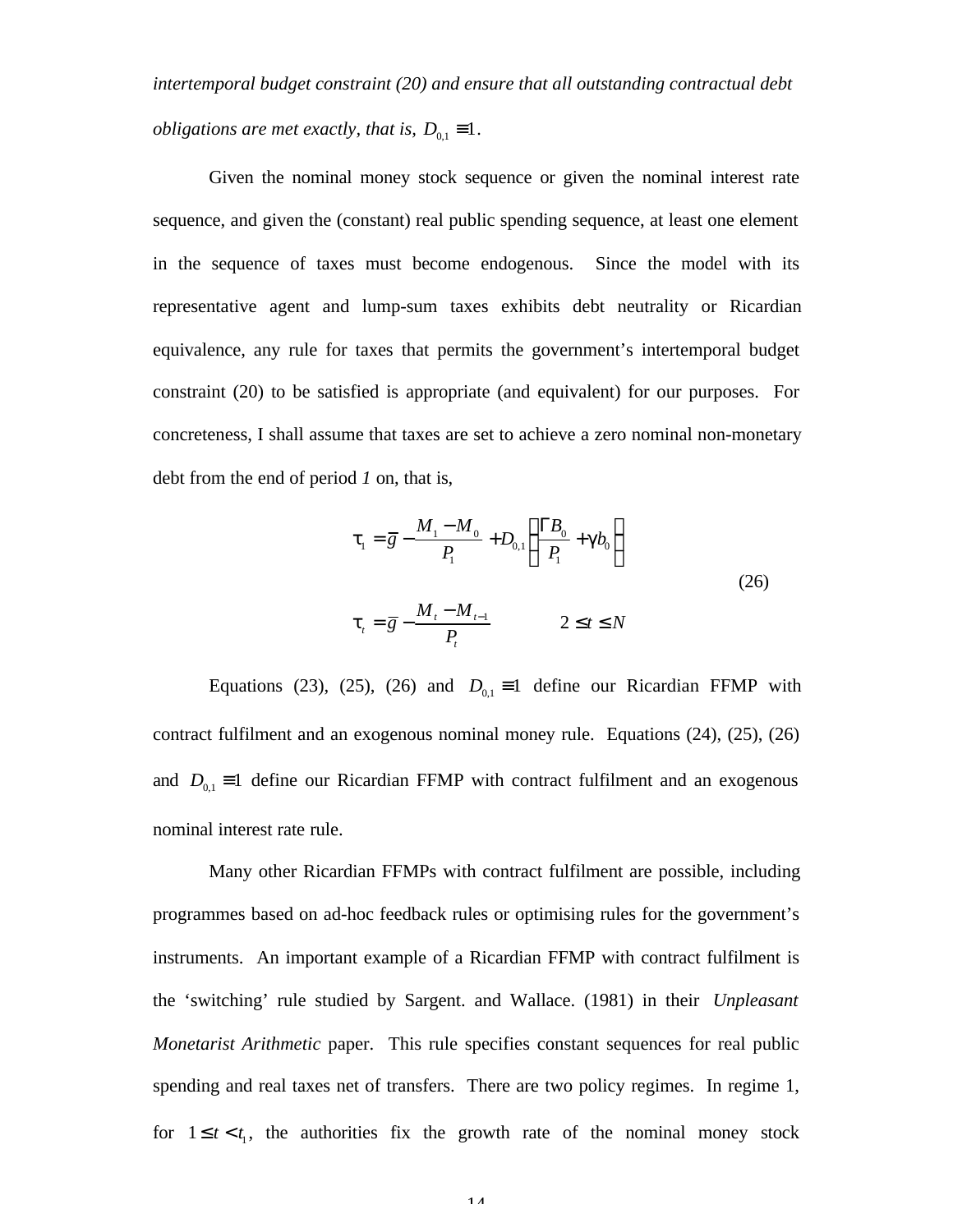*intertemporal budget constraint (20) and ensure that all outstanding contractual debt obligations are met exactly, that is,*  $D_{0,1} \equiv 1$ *.* 

Given the nominal money stock sequence or given the nominal interest rate sequence, and given the (constant) real public spending sequence, at least one element in the sequence of taxes must become endogenous. Since the model with its representative agent and lump-sum taxes exhibits debt neutrality or Ricardian equivalence, any rule for taxes that permits the government's intertemporal budget constraint (20) to be satisfied is appropriate (and equivalent) for our purposes. For concreteness, I shall assume that taxes are set to achieve a zero nominal non-monetary debt from the end of period *1* on, that is,

$$
\mathbf{t}_{1} = \overline{g} - \frac{M_{1} - M_{0}}{P_{1}} + D_{0,1} \left( \frac{\Gamma B_{0}}{P_{1}} + \mathbf{g} b_{0} \right)
$$
\n
$$
\mathbf{t}_{t} = \overline{g} - \frac{M_{t} - M_{t-1}}{P_{t}} \qquad 2 \leq t \leq N
$$
\n(26)

Equations (23), (25), (26) and  $D_{0,1} \equiv 1$  define our Ricardian FFMP with contract fulfilment and an exogenous nominal money rule. Equations (24), (25), (26) and  $D_{0,1} \equiv 1$  define our Ricardian FFMP with contract fulfilment and an exogenous nominal interest rate rule.

Many other Ricardian FFMPs with contract fulfilment are possible, including programmes based on ad-hoc feedback rules or optimising rules for the government's instruments. An important example of a Ricardian FFMP with contract fulfilment is the 'switching' rule studied by Sargent. and Wallace. (1981) in their *Unpleasant Monetarist Arithmetic* paper. This rule specifies constant sequences for real public spending and real taxes net of transfers. There are two policy regimes. In regime 1, for  $1 \le t < t_1$ , the authorities fix the growth rate of the nominal money stock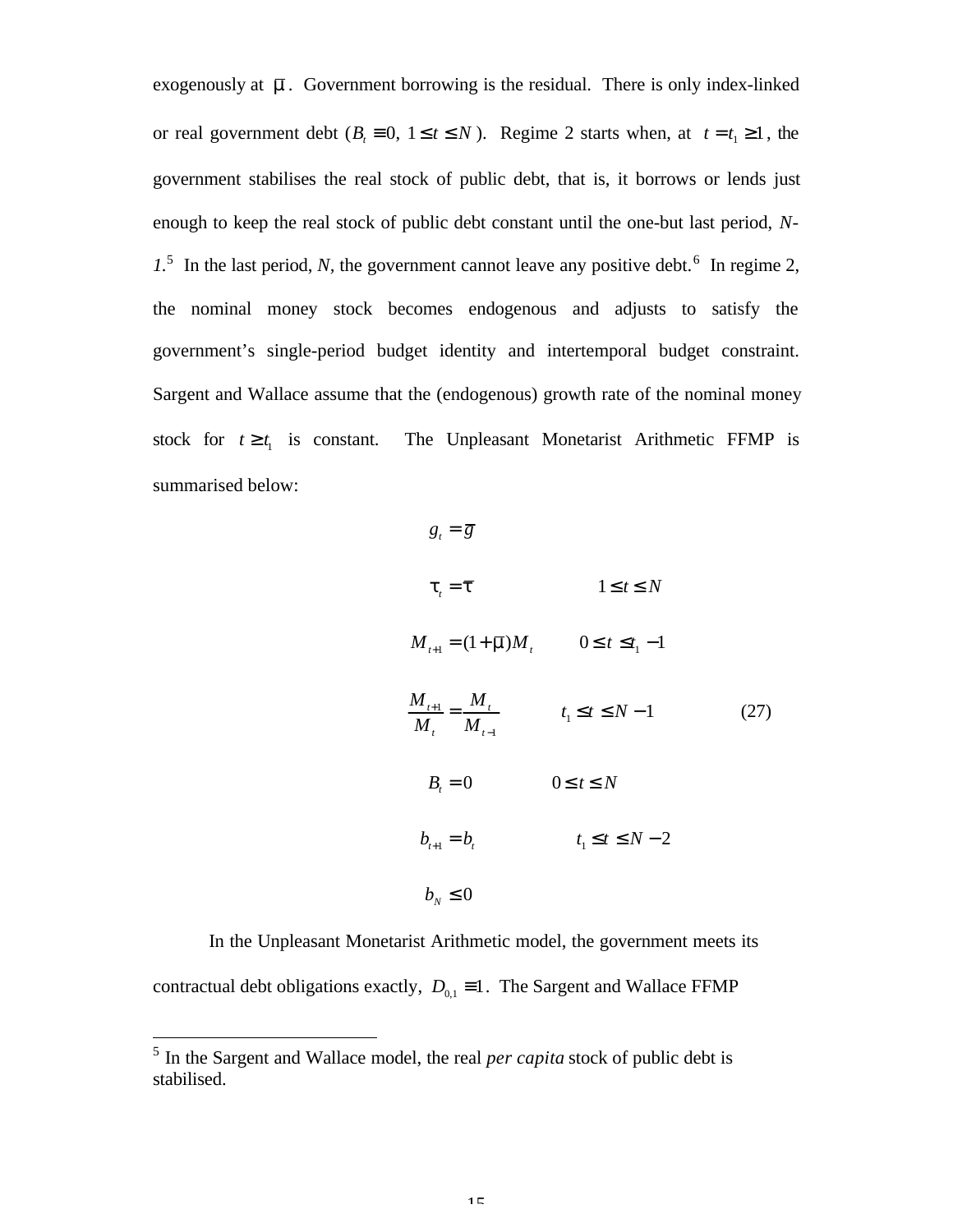exogenously at  $\overline{m}$ . Government borrowing is the residual. There is only index-linked or real government debt ( $B_t \equiv 0$ ,  $1 \le t \le N$ ). Regime 2 starts when, at  $t = t_1 \ge 1$ , the government stabilises the real stock of public debt, that is, it borrows or lends just enough to keep the real stock of public debt constant until the one-but last period, *N-* $1<sup>5</sup>$  In the last period, *N*, the government cannot leave any positive debt.<sup>6</sup> In regime 2, the nominal money stock becomes endogenous and adjusts to satisfy the government's single-period budget identity and intertemporal budget constraint. Sargent and Wallace assume that the (endogenous) growth rate of the nominal money stock for  $t \geq t_1$  is constant. The Unpleasant Monetarist Arithmetic FFMP is summarised below:

> $M_{t+1} = (1 + \overline{m})M_t$   $0 \le t \le t_1 - 1$  $\frac{1}{1} = \frac{m_t}{M}$   $t_1$ 1  $b_{t+1} = b_t$   $t_1 \le t \le N-2$  $t_t = \overline{t}$   $1 \le t \le N$  $\frac{t+1}{t} = \frac{M_t}{t}$   $t_1 \le t \le N-1$  $B_t = 0$   $0 \le t \le N$  $b_N \leq 0$  $g_t = \overline{g}$  $t$   $\boldsymbol{M}_{t}$  $\frac{M_{t+1}}{M} = \frac{M_t}{M}$   $t_1 \le t \le N$ *M M* + −  $=\frac{m_t}{16}$   $t_1 \le t \le N-$ (27)

In the Unpleasant Monetarist Arithmetic model, the government meets its contractual debt obligations exactly,  $D_{0,1} = 1$ . The Sargent and Wallace FFMP

 $\overline{a}$ 

<sup>5</sup> In the Sargent and Wallace model, the real *per capita* stock of public debt is stabilised.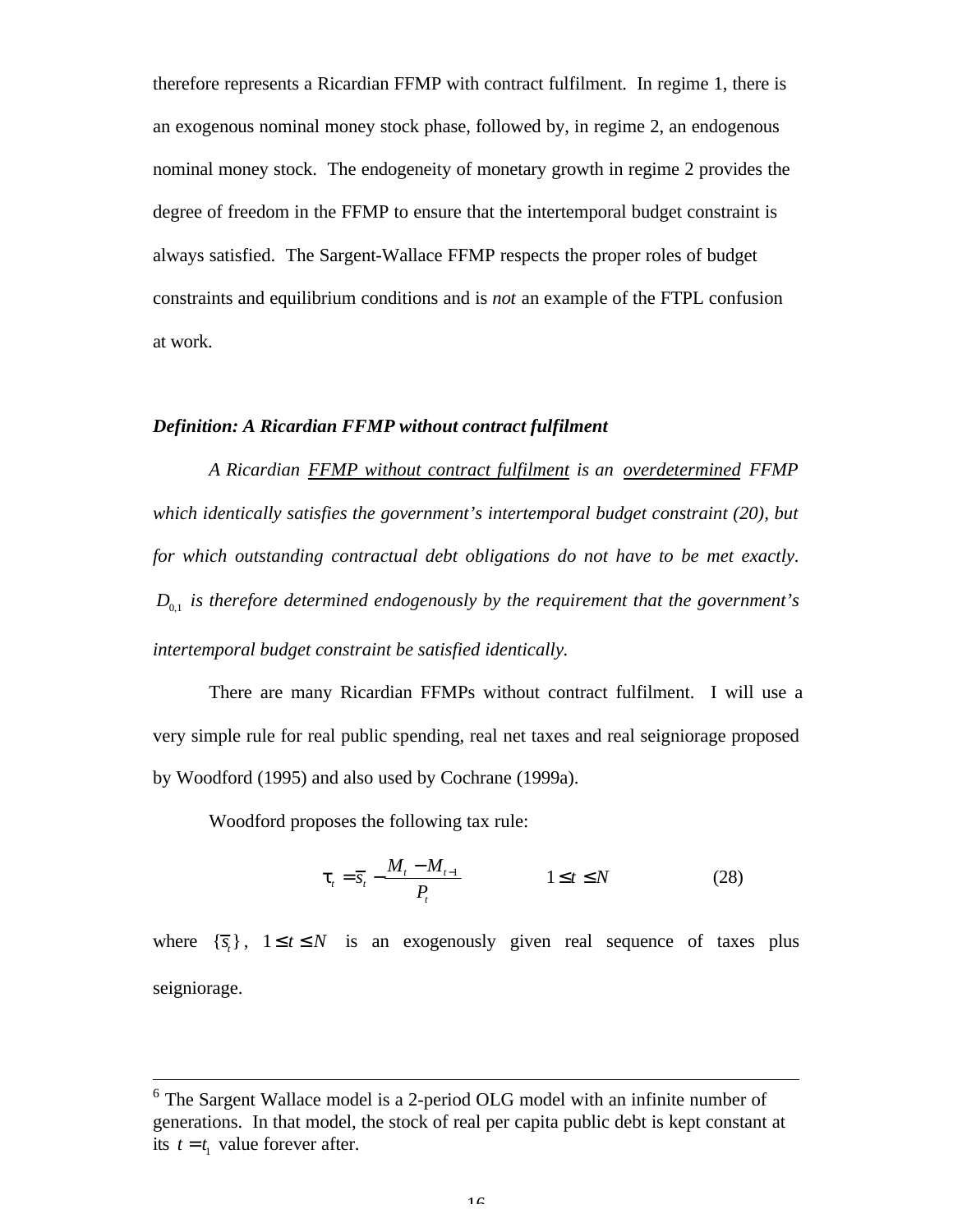therefore represents a Ricardian FFMP with contract fulfilment. In regime 1, there is an exogenous nominal money stock phase, followed by, in regime 2, an endogenous nominal money stock. The endogeneity of monetary growth in regime 2 provides the degree of freedom in the FFMP to ensure that the intertemporal budget constraint is always satisfied. The Sargent-Wallace FFMP respects the proper roles of budget constraints and equilibrium conditions and is *not* an example of the FTPL confusion at work.

### *Definition: A Ricardian FFMP without contract fulfilment*

*A Ricardian FFMP without contract fulfilment is an overdetermined FFMP which identically satisfies the government's intertemporal budget constraint (20), but for which outstanding contractual debt obligations do not have to be met exactly.*  $D_{0,1}$  *is therefore determined endogenously by the requirement that the government's intertemporal budget constraint be satisfied identically.*

There are many Ricardian FFMPs without contract fulfilment. I will use a very simple rule for real public spending, real net taxes and real seigniorage proposed by Woodford (1995) and also used by Cochrane (1999a).

Woodford proposes the following tax rule:

 $\overline{a}$ 

$$
\boldsymbol{t}_{t} = \overline{s}_{t} - \frac{M_{t} - M_{t-1}}{P_{t}} \qquad \qquad 1 \leq t \leq N \qquad (28)
$$

where  $\{\overline{s}_t\}$ ,  $1 \le t \le N$  is an exogenously given real sequence of taxes plus seigniorage.

<sup>&</sup>lt;sup>6</sup> The Sargent Wallace model is a 2-period OLG model with an infinite number of generations. In that model, the stock of real per capita public debt is kept constant at its  $t = t_1$  value forever after.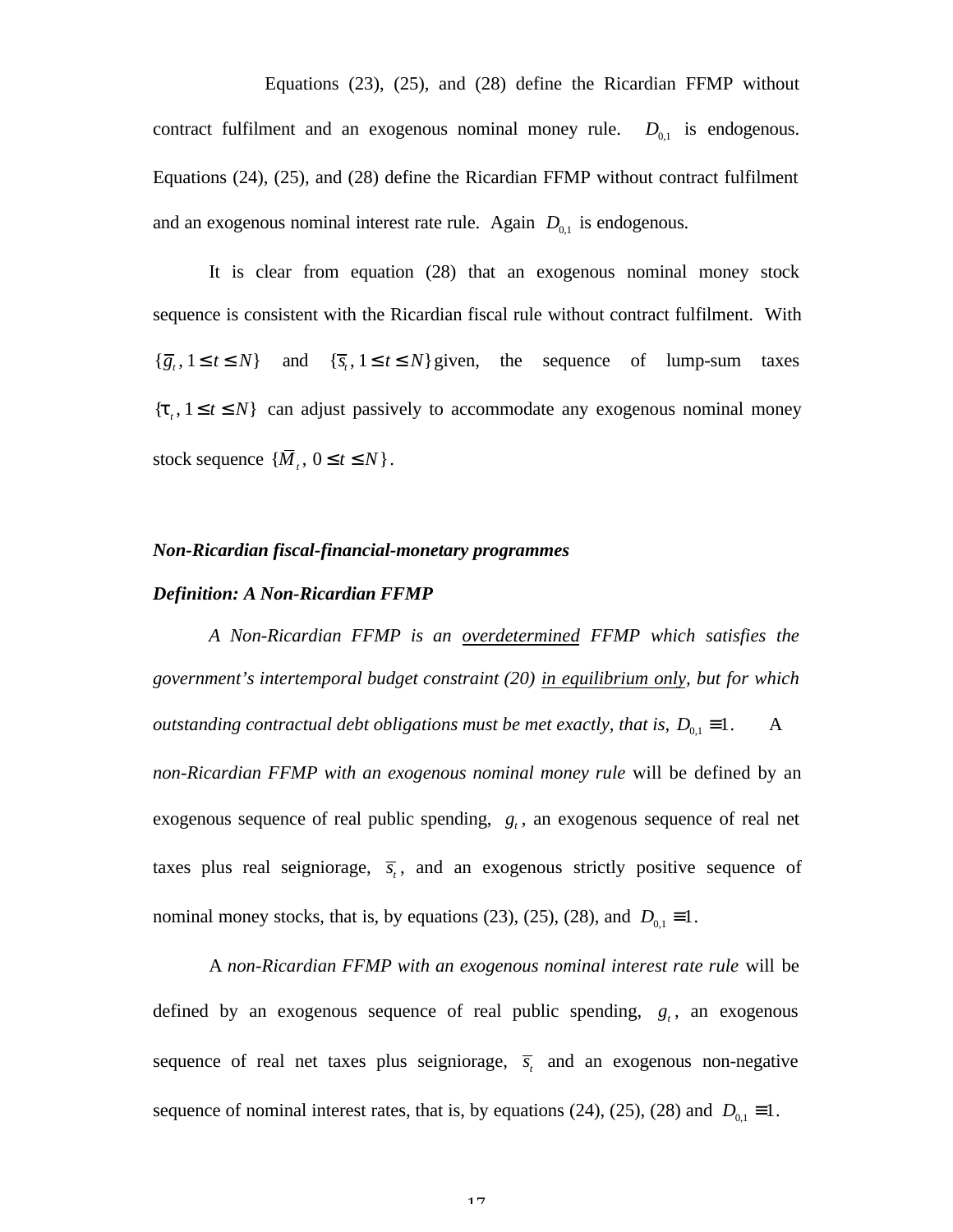Equations (23), (25), and (28) define the Ricardian FFMP without contract fulfilment and an exogenous nominal money rule.  $D_{0,1}$  is endogenous. Equations (24), (25), and (28) define the Ricardian FFMP without contract fulfilment and an exogenous nominal interest rate rule. Again  $D_{01}$  is endogenous.

It is clear from equation (28) that an exogenous nominal money stock sequence is consistent with the Ricardian fiscal rule without contract fulfilment. With  $\{\overline{g}_t, 1 \le t \le N\}$  and  $\{\overline{s}_t, 1 \le t \le N\}$  given, the sequence of lump-sum taxes  ${\bf t}$ ,  $1 \le t \le N$ } can adjust passively to accommodate any exogenous nominal money stock sequence  $\{\overline{M}_t, 0 \le t \le N\}$ .

#### *Non-Ricardian fiscal-financial-monetary programmes*

#### *Definition: A Non-Ricardian FFMP*

*A Non-Ricardian FFMP is an overdetermined FFMP which satisfies the government's intertemporal budget constraint (20) in equilibrium only, but for which outstanding contractual debt obligations must be met exactly, that is,*  $D_{0,1} \equiv 1$ . A *non-Ricardian FFMP with an exogenous nominal money rule* will be defined by an exogenous sequence of real public spending,  $g_t$ , an exogenous sequence of real net taxes plus real seigniorage,  $\overline{s}_{i}$ , and an exogenous strictly positive sequence of nominal money stocks, that is, by equations (23), (25), (28), and  $D_{0,1} \equiv 1$ .

A *non-Ricardian FFMP with an exogenous nominal interest rate rule* will be defined by an exogenous sequence of real public spending,  $g_t$ , an exogenous sequence of real net taxes plus seigniorage,  $\overline{s}$  and an exogenous non-negative sequence of nominal interest rates, that is, by equations (24), (25), (28) and  $D_{0,1} \equiv 1$ .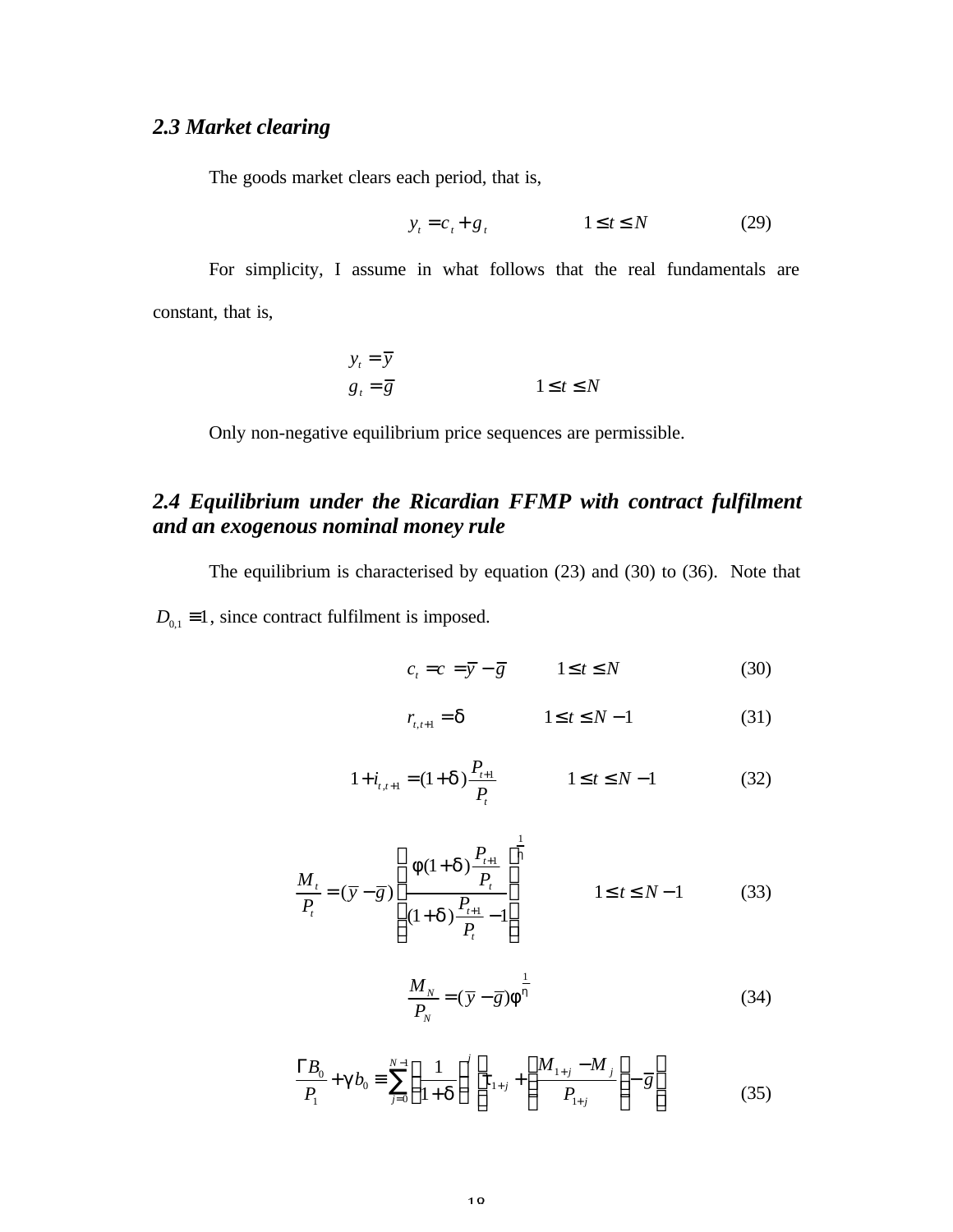### *2.3 Market clearing*

The goods market clears each period, that is,

$$
y_t = c_t + g_t \qquad \qquad 1 \le t \le N \tag{29}
$$

For simplicity, I assume in what follows that the real fundamentals are constant, that is,

$$
y_t = \overline{y}
$$
  

$$
g_t = \overline{g}
$$
  

$$
1 \le t \le N
$$

Only non-negative equilibrium price sequences are permissible.

### *2.4 Equilibrium under the Ricardian FFMP with contract fulfilment and an exogenous nominal money rule*

The equilibrium is characterised by equation (23) and (30) to (36). Note that  $D_{0,1} \equiv 1$ , since contract fulfilment is imposed.

$$
c_t = c = \overline{y} - \overline{g} \qquad 1 \le t \le N \tag{30}
$$

$$
r_{t,t+1} = d \qquad \qquad 1 \le t \le N-1 \tag{31}
$$

$$
1 + i_{t,t+1} = (1 + d) \frac{P_{t+1}}{P_t} \qquad 1 \le t \le N - 1 \qquad (32)
$$

$$
\frac{M_t}{P_t} = (\overline{y} - \overline{g}) \left[ \frac{f(1+d)\frac{P_{t+1}}{P_t}}{(1+d)\frac{P_{t+1}}{P_t} - 1} \right]^{\frac{1}{h}}
$$
\n $1 \le t \le N - 1$ \n(33)

$$
\frac{M_N}{P_N} = (\overline{y} - \overline{g}) \mathbf{f}^{\frac{1}{h}}
$$
\n(34)

$$
\frac{\Gamma B_0}{P_1} + \mathbf{g} b_0 \equiv \sum_{j=0}^{N-1} \left( \frac{1}{1+\mathbf{d}} \right)^j \left[ \mathbf{t}_{1+j} + \left( \frac{M_{1+j} - M_j}{P_{1+j}} \right) - \overline{g} \right]
$$
(35)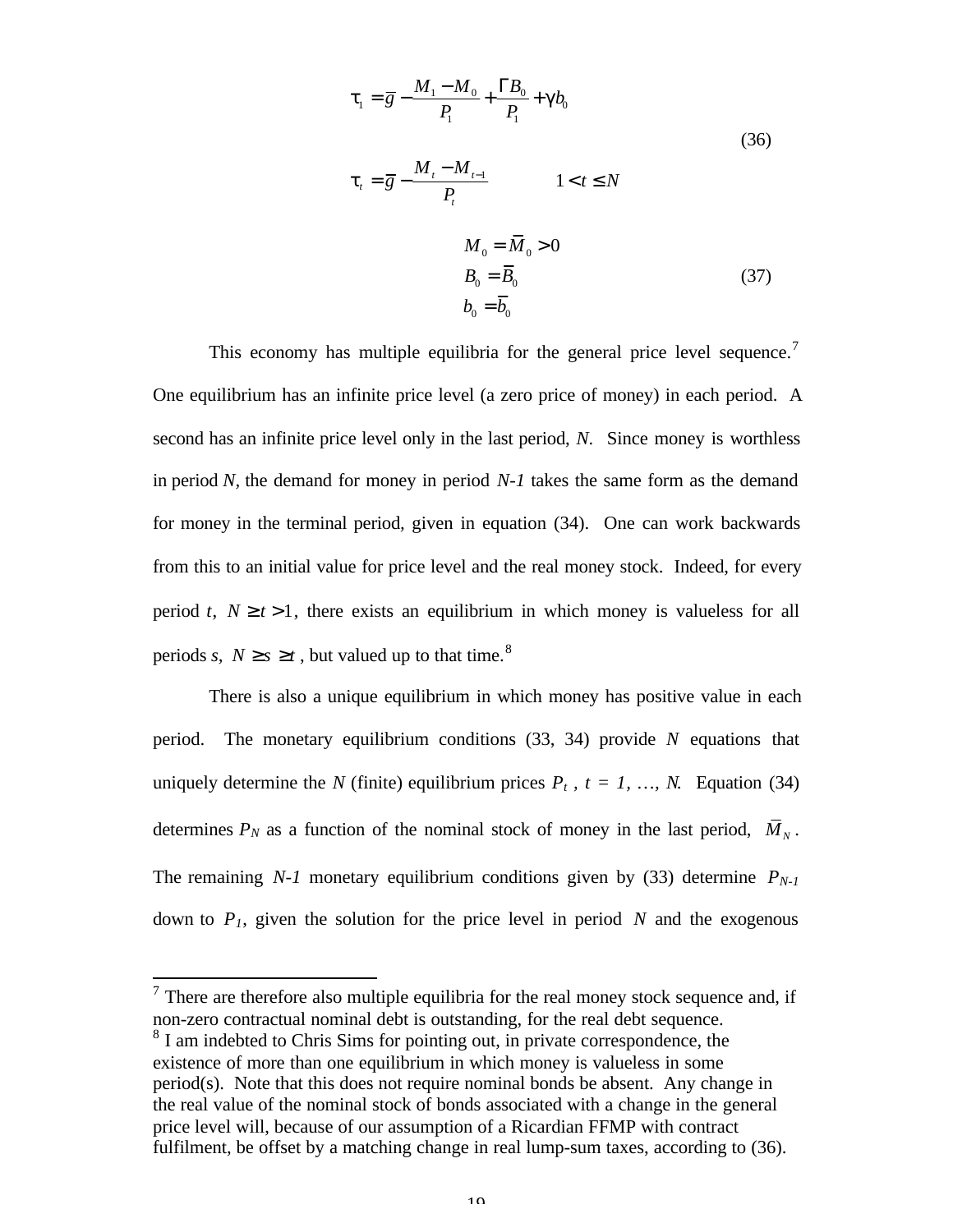$$
t_{1} = \overline{g} - \frac{M_{1} - M_{0}}{P_{1}} + \frac{\Gamma B_{0}}{P_{1}} + g b_{0}
$$
\n
$$
t_{t} = \overline{g} - \frac{M_{t} - M_{t-1}}{P_{t}} \qquad 1 < t \le N
$$
\n
$$
M_{0} = \overline{M}_{0} > 0
$$
\n
$$
B_{0} = \overline{B}_{0}
$$
\n(37)

This economy has multiple equilibria for the general price level sequence.<sup>7</sup> One equilibrium has an infinite price level (a zero price of money) in each period. A second has an infinite price level only in the last period, *N.* Since money is worthless in period *N,* the demand for money in period *N-1* takes the same form as the demand for money in the terminal period*,* given in equation (34). One can work backwards from this to an initial value for price level and the real money stock. Indeed, for every period *t*,  $N \ge t > 1$ , there exists an equilibrium in which money is valueless for all periods *s*,  $N \geq s \geq t$ , but valued up to that time.<sup>8</sup>

There is also a unique equilibrium in which money has positive value in each period. The monetary equilibrium conditions (33, 34) provide *N* equations that uniquely determine the *N* (finite) equilibrium prices  $P_t$ ,  $t = 1$ , ..., *N*. Equation (34) determines  $P_N$  as a function of the nominal stock of money in the last period,  $\overline{M}_N$ . The remaining *N-1* monetary equilibrium conditions given by (33) determine  $P_{N-1}$ down to  $P<sub>I</sub>$ , given the solution for the price level in period  $N$  and the exogenous

<sup>&</sup>lt;sup>7</sup> There are therefore also multiple equilibria for the real money stock sequence and, if non-zero contractual nominal debt is outstanding, for the real debt sequence.

<sup>&</sup>lt;sup>8</sup> I am indebted to Chris Sims for pointing out, in private correspondence, the existence of more than one equilibrium in which money is valueless in some  $period(s)$ . Note that this does not require nominal bonds be absent. Any change in the real value of the nominal stock of bonds associated with a change in the general price level will, because of our assumption of a Ricardian FFMP with contract fulfilment, be offset by a matching change in real lump-sum taxes, according to (36).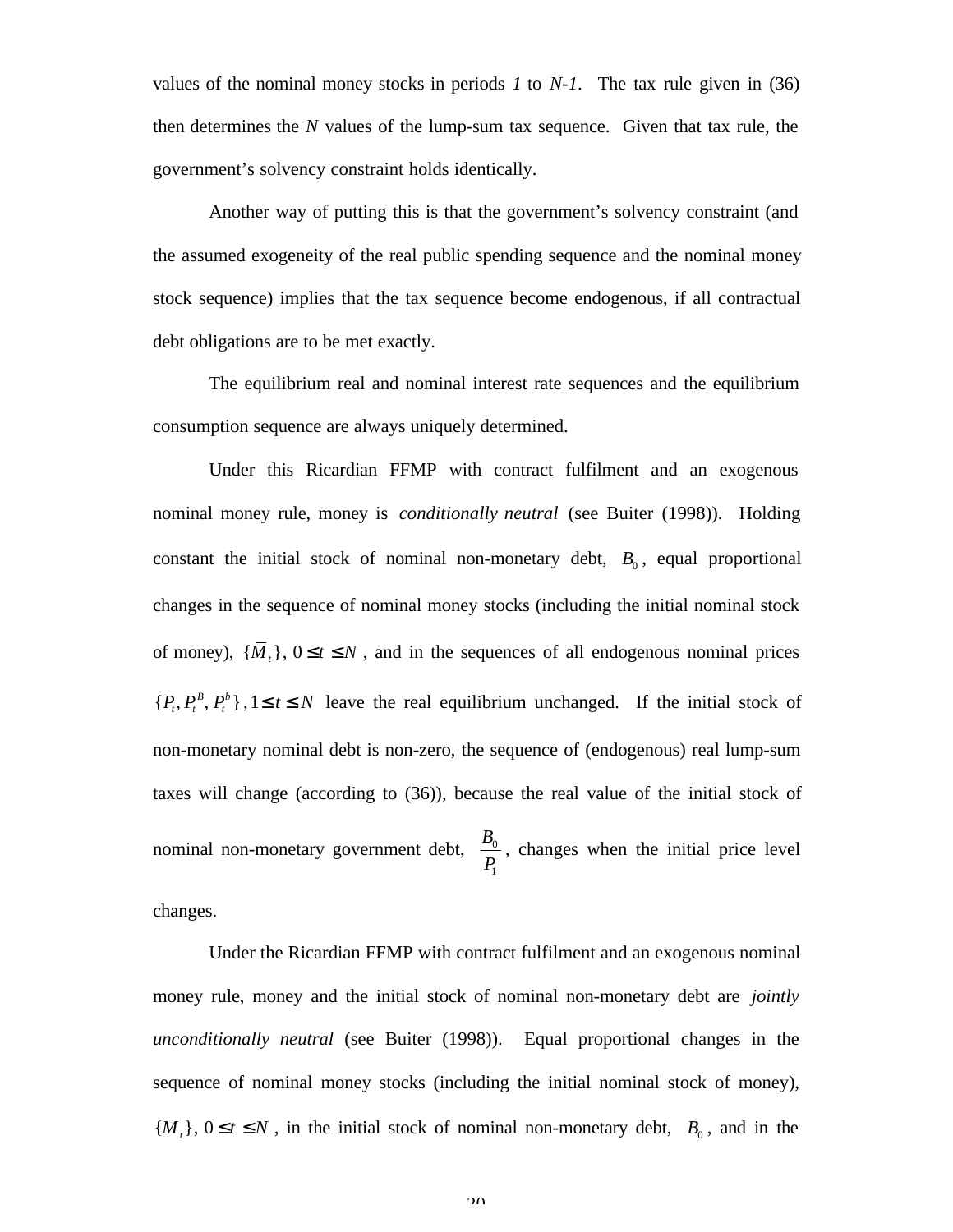values of the nominal money stocks in periods *1* to *N-1*. The tax rule given in (36) then determines the *N* values of the lump-sum tax sequence. Given that tax rule, the government's solvency constraint holds identically.

Another way of putting this is that the government's solvency constraint (and the assumed exogeneity of the real public spending sequence and the nominal money stock sequence) implies that the tax sequence become endogenous, if all contractual debt obligations are to be met exactly.

The equilibrium real and nominal interest rate sequences and the equilibrium consumption sequence are always uniquely determined.

Under this Ricardian FFMP with contract fulfilment and an exogenous nominal money rule, money is *conditionally neutral* (see Buiter (1998)). Holding constant the initial stock of nominal non-monetary debt,  $B_0$ , equal proportional changes in the sequence of nominal money stocks (including the initial nominal stock of money),  $\{\overline{M}_t\}$ ,  $0 \le t \le N$ , and in the sequences of all endogenous nominal prices  $\{P_t, P_t^B, P_t^b\}$ ,  $1 \le t \le N$  leave the real equilibrium unchanged. If the initial stock of non-monetary nominal debt is non-zero, the sequence of (endogenous) real lump-sum taxes will change (according to (36)), because the real value of the initial stock of nominal non-monetary government debt,  $\frac{D_0}{D_0}$ 1 *B P* , changes when the initial price level changes.

Under the Ricardian FFMP with contract fulfilment and an exogenous nominal money rule, money and the initial stock of nominal non-monetary debt are *jointly unconditionally neutral* (see Buiter (1998)). Equal proportional changes in the sequence of nominal money stocks (including the initial nominal stock of money),  ${\overline{M}}_t$ ,  $0 \le t \le N$ , in the initial stock of nominal non-monetary debt,  $B_0$ , and in the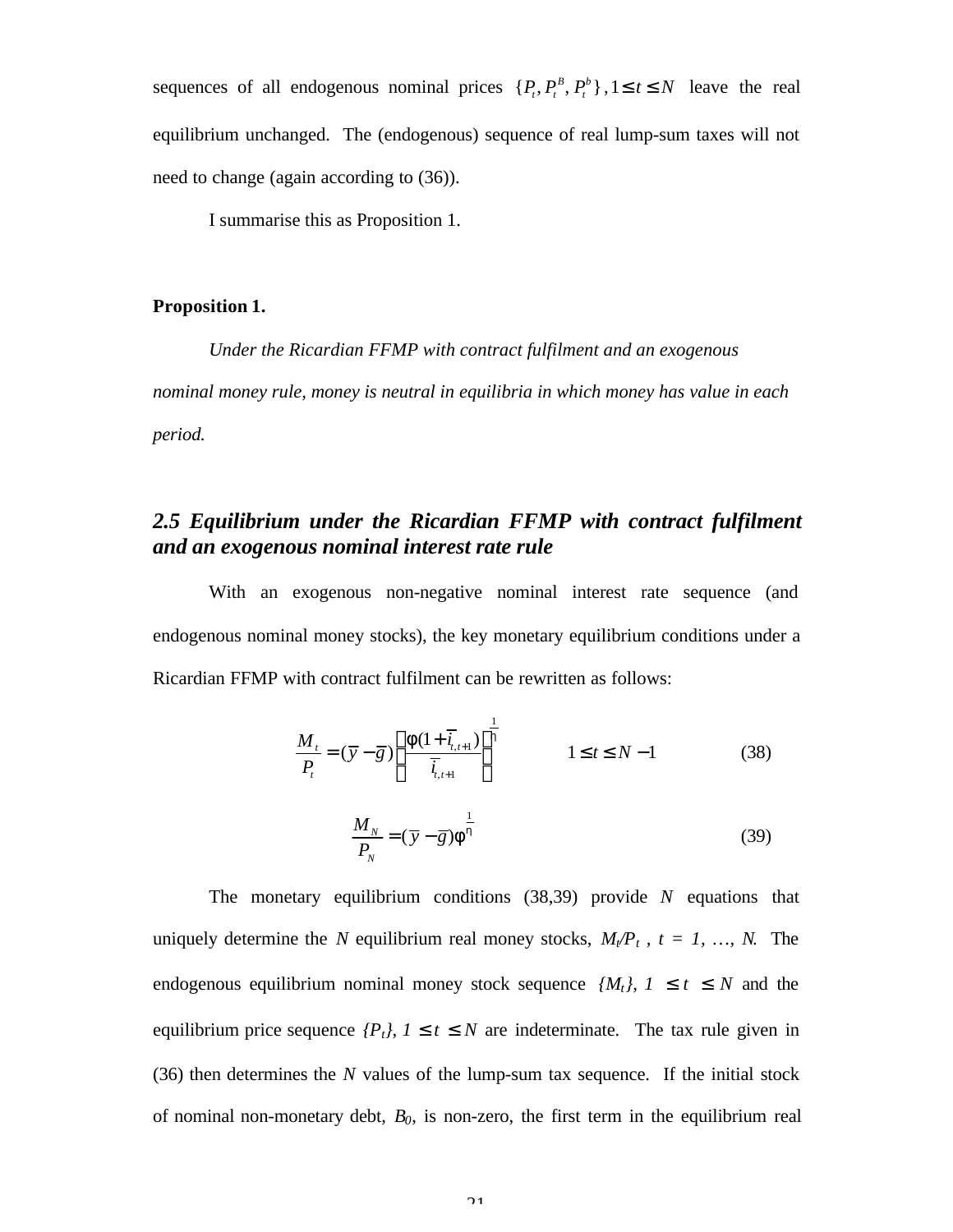sequences of all endogenous nominal prices  $\{P_t, P_t^B, P_t^b\}$ ,  $1 \le t \le N$  leave the real equilibrium unchanged. The (endogenous) sequence of real lump-sum taxes will not need to change (again according to (36)).

I summarise this as Proposition 1.

### **Proposition 1.**

*Under the Ricardian FFMP with contract fulfilment and an exogenous nominal money rule, money is neutral in equilibria in which money has value in each period.*

### *2.5 Equilibrium under the Ricardian FFMP with contract fulfilment and an exogenous nominal interest rate rule*

With an exogenous non-negative nominal interest rate sequence (and endogenous nominal money stocks), the key monetary equilibrium conditions under a Ricardian FFMP with contract fulfilment can be rewritten as follows:

$$
\frac{M_t}{P_t} = (\overline{y} - \overline{g}) \left[ \frac{f(1 + \overline{i}_{t,t+1})}{\overline{i}_{t,t+1}} \right]^{\frac{1}{h}}
$$
\n
$$
1 \le t \le N - 1
$$
\n(38)

$$
\frac{M_N}{P_N} = (\overline{y} - \overline{g}) \mathbf{f}^{\frac{1}{n}}
$$
\n(39)

The monetary equilibrium conditions (38,39) provide *N* equations that uniquely determine the *N* equilibrium real money stocks,  $M_f/P_t$ ,  $t = 1$ , ..., *N*. The endogenous equilibrium nominal money stock sequence  $\{M_t\}$ , 1 **£** *t* **£** *N* and the equilibrium price sequence  ${P_t}$ , 1 **£** t **£** N are indeterminate. The tax rule given in (36) then determines the *N* values of the lump-sum tax sequence. If the initial stock of nominal non-monetary debt, *B0*, is non-zero, the first term in the equilibrium real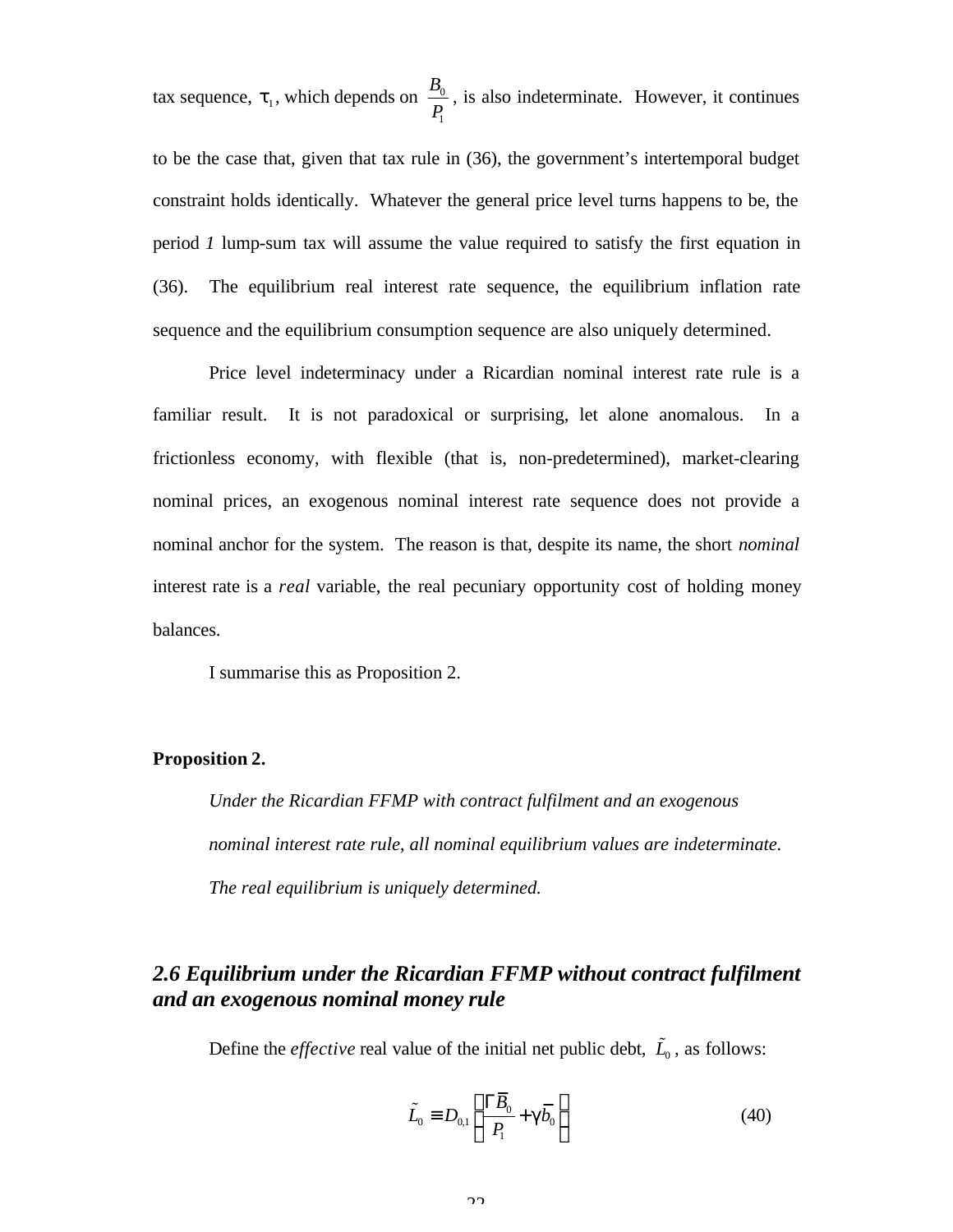tax sequence,  $t_1$ , which depends on  $\frac{B_0}{D_1}$ 1 *B P* , is also indeterminate. However, it continues

to be the case that, given that tax rule in (36), the government's intertemporal budget constraint holds identically. Whatever the general price level turns happens to be, the period *1* lump-sum tax will assume the value required to satisfy the first equation in (36). The equilibrium real interest rate sequence, the equilibrium inflation rate sequence and the equilibrium consumption sequence are also uniquely determined.

Price level indeterminacy under a Ricardian nominal interest rate rule is a familiar result. It is not paradoxical or surprising, let alone anomalous. In a frictionless economy, with flexible (that is, non-predetermined), market-clearing nominal prices, an exogenous nominal interest rate sequence does not provide a nominal anchor for the system. The reason is that, despite its name, the short *nominal* interest rate is a *real* variable, the real pecuniary opportunity cost of holding money balances.

I summarise this as Proposition 2.

#### **Proposition 2.**

*Under the Ricardian FFMP with contract fulfilment and an exogenous nominal interest rate rule, all nominal equilibrium values are indeterminate. The real equilibrium is uniquely determined.*

### *2.6 Equilibrium under the Ricardian FFMP without contract fulfilment and an exogenous nominal money rule*

Define the *effective* real value of the initial net public debt,  $\tilde{L}_0$ , as follows:

$$
\tilde{L}_0 \equiv D_{0,1} \left( \frac{\Gamma \overline{B}_0}{P_1} + \mathbf{g} \overline{b}_0 \right) \tag{40}
$$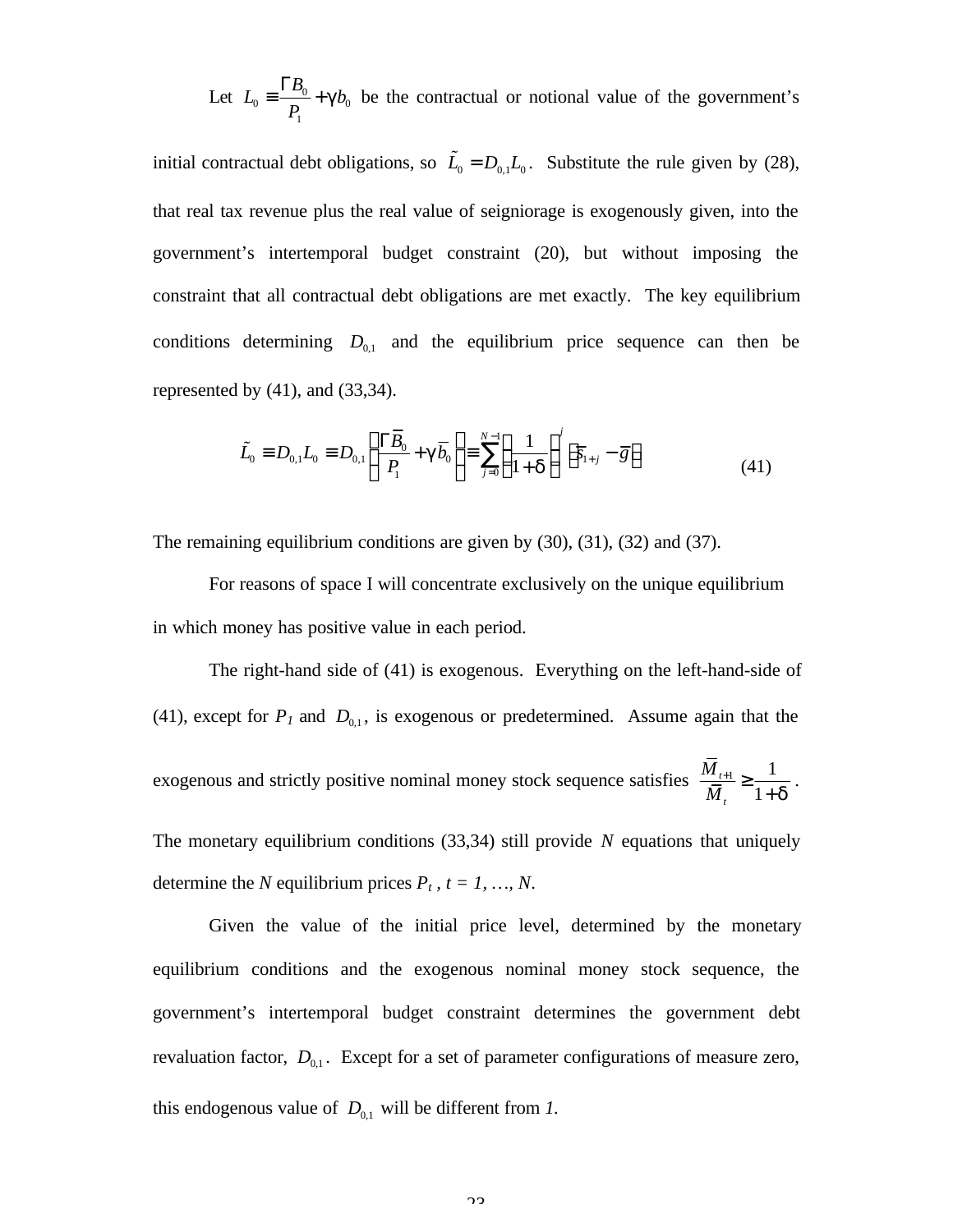Let  $L_0 = \frac{1B_0}{R} + g b_0$ 1  $L_0 = \frac{\Gamma B_0}{\Gamma} + \mathbf{g} b_0$ *P*  $\equiv \frac{\Gamma B_0}{\Gamma} + \mathbf{g} b_0$  be the contractual or notional value of the government's

initial contractual debt obligations, so  $\tilde{L}_0 = D_{0,1} L_0$ . Substitute the rule given by (28), that real tax revenue plus the real value of seigniorage is exogenously given, into the government's intertemporal budget constraint (20), but without imposing the constraint that all contractual debt obligations are met exactly. The key equilibrium conditions determining  $D_{0,1}$  and the equilibrium price sequence can then be represented by (41), and (33,34).

$$
\tilde{L}_0 \equiv D_{0,1} L_0 \equiv D_{0,1} \left( \frac{\Gamma \overline{B}_0}{P_1} + \mathbf{g} \overline{b}_0 \right) \equiv \sum_{j=0}^{N-1} \left( \frac{1}{1+\mathbf{d}} \right)^j \left[ \overline{s}_{1+j} - \overline{g} \right]
$$
(41)

The remaining equilibrium conditions are given by (30), (31), (32) and (37).

For reasons of space I will concentrate exclusively on the unique equilibrium in which money has positive value in each period.

The right-hand side of (41) is exogenous. Everything on the left-hand-side of (41), except for  $P_I$  and  $D_{0,1}$ , is exogenous or predetermined. Assume again that the exogenous and strictly positive nominal money stock sequence satisfies  $\frac{M_{i+1}}{\sqrt{2}} \geq \frac{1}{\sqrt{2}}$ 1 *t t M*  $\overline{M}_{t}$ <sup> $-1+\overline{d}$ </sup>  $\frac{+1}{-}$ + . The monetary equilibrium conditions (33,34) still provide *N* equations that uniquely determine the *N* equilibrium prices  $P_t$ ,  $t = 1, ..., N$ .

Given the value of the initial price level, determined by the monetary equilibrium conditions and the exogenous nominal money stock sequence, the government's intertemporal budget constraint determines the government debt revaluation factor,  $D_{0,1}$ . Except for a set of parameter configurations of measure zero, this endogenous value of  $D_{0,1}$  will be different from *1*.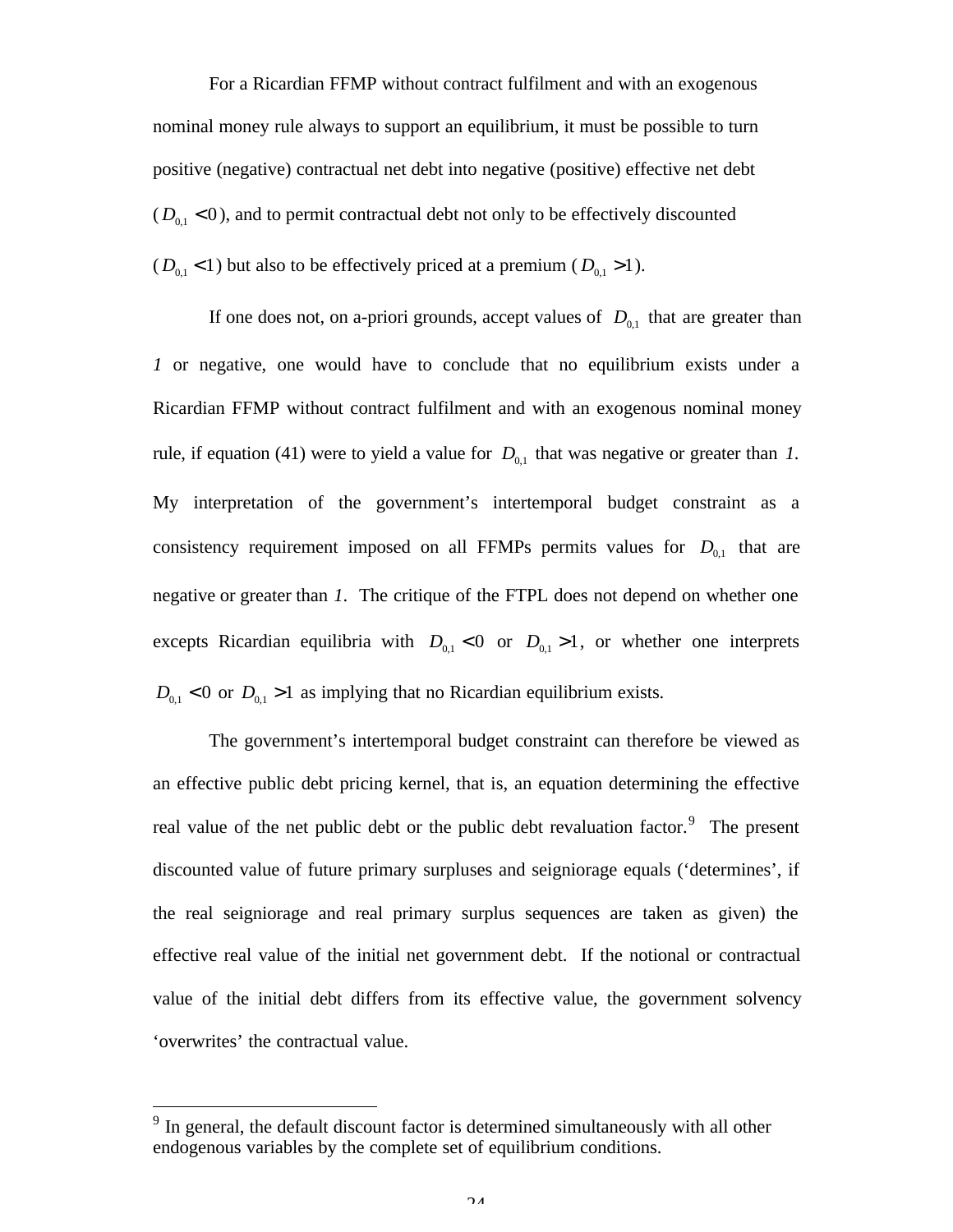For a Ricardian FFMP without contract fulfilment and with an exogenous nominal money rule always to support an equilibrium, it must be possible to turn positive (negative) contractual net debt into negative (positive) effective net debt  $(D_{0,1} < 0)$ , and to permit contractual debt not only to be effectively discounted  $(D_{0,1} < 1)$  but also to be effectively priced at a premium  $(D_{0,1} > 1)$ .

If one does not, on a-priori grounds, accept values of  $D_{0,1}$  that are greater than *l* or negative, one would have to conclude that no equilibrium exists under a Ricardian FFMP without contract fulfilment and with an exogenous nominal money rule, if equation (41) were to yield a value for  $D_{0,1}$  that was negative or greater than *1*. My interpretation of the government's intertemporal budget constraint as a consistency requirement imposed on all FFMPs permits values for  $D_{0,1}$  that are negative or greater than *1*. The critique of the FTPL does not depend on whether one excepts Ricardian equilibria with  $D_{0,1} < 0$  or  $D_{0,1} > 1$ , or whether one interprets  $D_{0,1}$  < 0 or  $D_{0,1}$  > 1 as implying that no Ricardian equilibrium exists.

The government's intertemporal budget constraint can therefore be viewed as an effective public debt pricing kernel, that is, an equation determining the effective real value of the net public debt or the public debt revaluation factor.<sup>9</sup> The present discounted value of future primary surpluses and seigniorage equals ('determines', if the real seigniorage and real primary surplus sequences are taken as given) the effective real value of the initial net government debt. If the notional or contractual value of the initial debt differs from its effective value, the government solvency 'overwrites' the contractual value.

 $\overline{a}$ 

<sup>&</sup>lt;sup>9</sup> In general, the default discount factor is determined simultaneously with all other endogenous variables by the complete set of equilibrium conditions.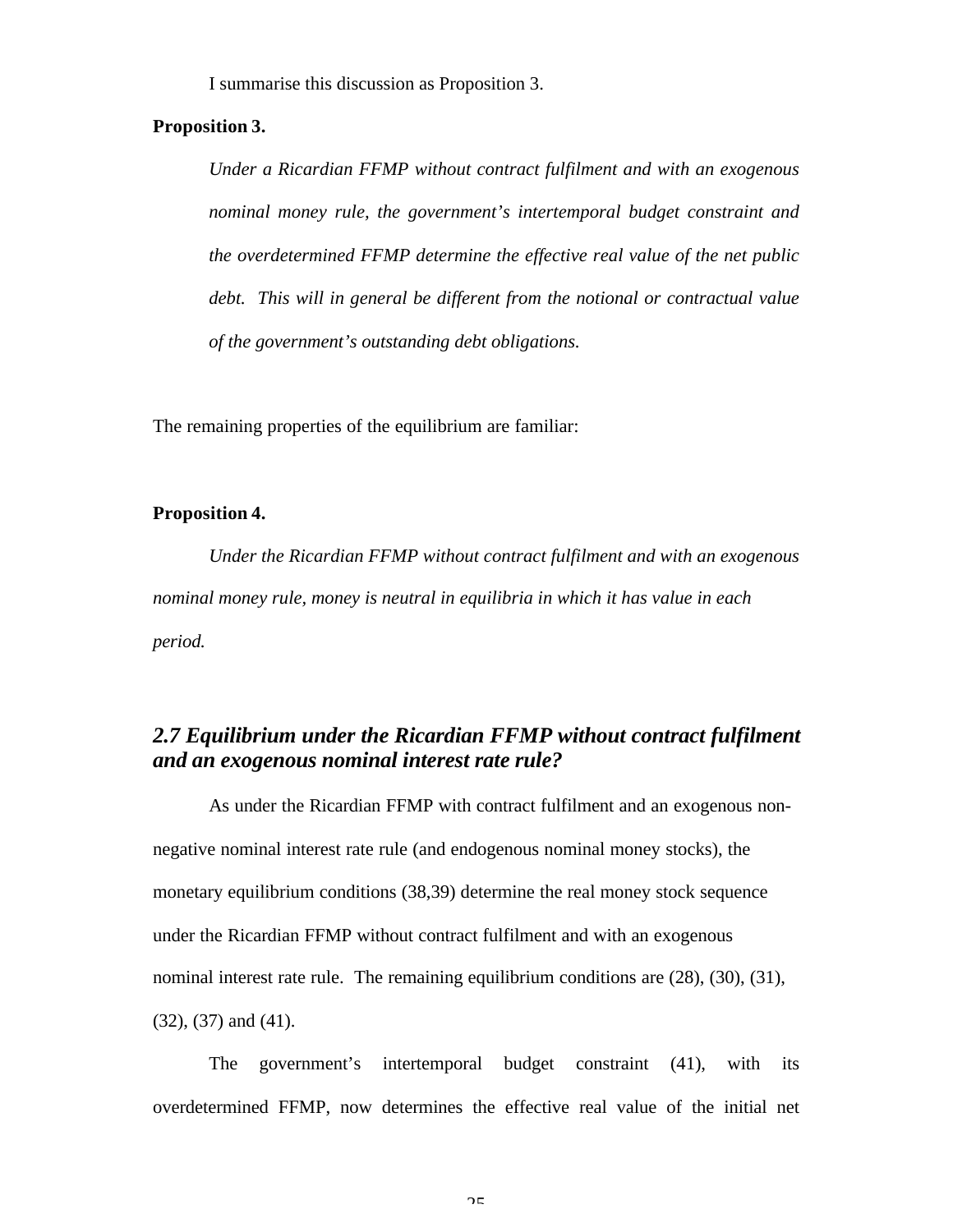I summarise this discussion as Proposition 3.

#### **Proposition 3.**

*Under a Ricardian FFMP without contract fulfilment and with an exogenous nominal money rule, the government's intertemporal budget constraint and the overdetermined FFMP determine the effective real value of the net public debt. This will in general be different from the notional or contractual value of the government's outstanding debt obligations.*

The remaining properties of the equilibrium are familiar:

### **Proposition 4.**

*Under the Ricardian FFMP without contract fulfilment and with an exogenous nominal money rule, money is neutral in equilibria in which it has value in each period.*

### *2.7 Equilibrium under the Ricardian FFMP without contract fulfilment and an exogenous nominal interest rate rule?*

As under the Ricardian FFMP with contract fulfilment and an exogenous nonnegative nominal interest rate rule (and endogenous nominal money stocks), the monetary equilibrium conditions (38,39) determine the real money stock sequence under the Ricardian FFMP without contract fulfilment and with an exogenous nominal interest rate rule. The remaining equilibrium conditions are (28), (30), (31), (32), (37) and (41).

The government's intertemporal budget constraint (41), with its overdetermined FFMP, now determines the effective real value of the initial net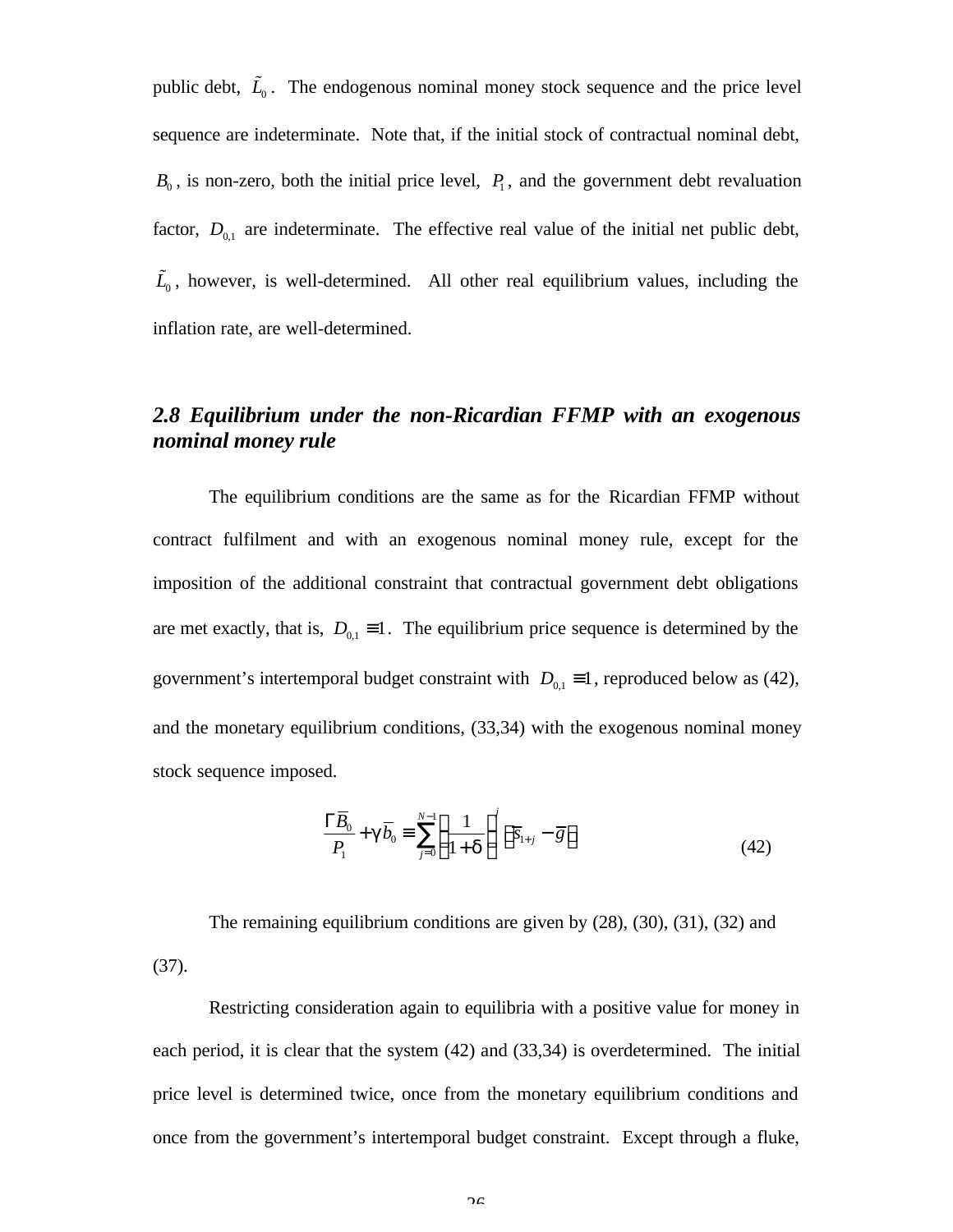public debt,  $\tilde{L}_0$ . The endogenous nominal money stock sequence and the price level sequence are indeterminate. Note that, if the initial stock of contractual nominal debt,  $B_0$ , is non-zero, both the initial price level,  $P_1$ , and the government debt revaluation factor,  $D_{0,1}$  are indeterminate. The effective real value of the initial net public debt,  $\tilde{L}_0$ , however, is well-determined. All other real equilibrium values, including the inflation rate, are well-determined.

# *2.8 Equilibrium under the non-Ricardian FFMP with an exogenous nominal money rule*

The equilibrium conditions are the same as for the Ricardian FFMP without contract fulfilment and with an exogenous nominal money rule, except for the imposition of the additional constraint that contractual government debt obligations are met exactly, that is,  $D_{0,1} \equiv 1$ . The equilibrium price sequence is determined by the government's intertemporal budget constraint with  $D_{0,1} \equiv 1$ , reproduced below as (42), and the monetary equilibrium conditions, (33,34) with the exogenous nominal money stock sequence imposed.

$$
\frac{\Gamma \overline{B}_0}{P_1} + \mathbf{g} \overline{b}_0 \equiv \sum_{j=0}^{N-1} \left( \frac{1}{1+\mathbf{d}} \right)^j \left[ \overline{s}_{1+j} - \overline{g} \right]
$$
(42)

The remaining equilibrium conditions are given by (28), (30), (31), (32) and (37).

Restricting consideration again to equilibria with a positive value for money in each period, it is clear that the system (42) and (33,34) is overdetermined. The initial price level is determined twice, once from the monetary equilibrium conditions and once from the government's intertemporal budget constraint. Except through a fluke,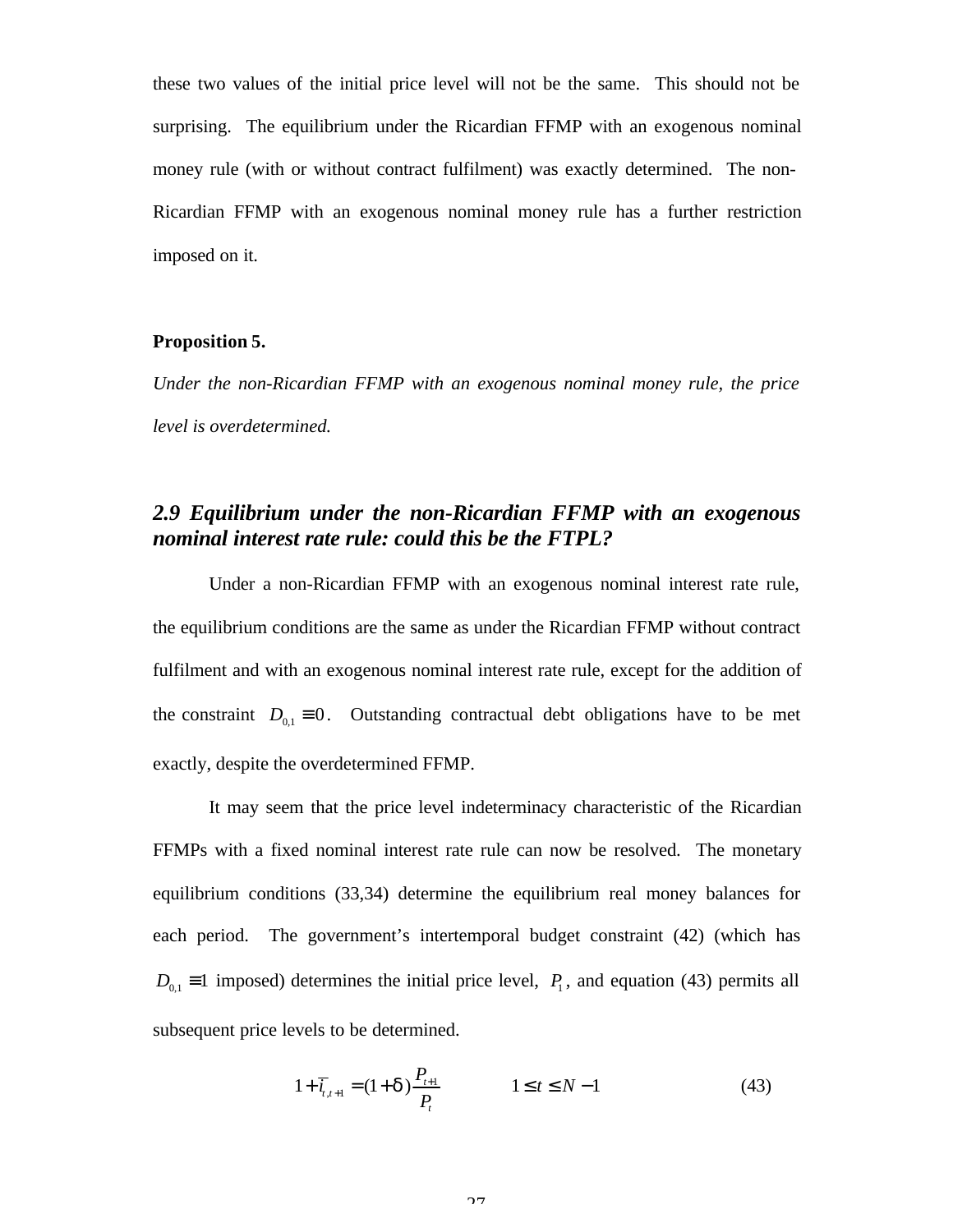these two values of the initial price level will not be the same. This should not be surprising. The equilibrium under the Ricardian FFMP with an exogenous nominal money rule (with or without contract fulfilment) was exactly determined. The non-Ricardian FFMP with an exogenous nominal money rule has a further restriction imposed on it.

#### **Proposition 5.**

*Under the non-Ricardian FFMP with an exogenous nominal money rule, the price level is overdetermined.*

# *2.9 Equilibrium under the non-Ricardian FFMP with an exogenous nominal interest rate rule: could this be the FTPL?*

Under a non-Ricardian FFMP with an exogenous nominal interest rate rule, the equilibrium conditions are the same as under the Ricardian FFMP without contract fulfilment and with an exogenous nominal interest rate rule, except for the addition of the constraint  $D_{0,1} \equiv 0$ . Outstanding contractual debt obligations have to be met exactly, despite the overdetermined FFMP.

It may seem that the price level indeterminacy characteristic of the Ricardian FFMPs with a fixed nominal interest rate rule can now be resolved. The monetary equilibrium conditions (33,34) determine the equilibrium real money balances for each period. The government's intertemporal budget constraint (42) (which has  $D_{0,1} \equiv 1$  imposed) determines the initial price level,  $P_1$ , and equation (43) permits all subsequent price levels to be determined.

$$
1 + \overline{i}_{t,t+1} = (1 + d) \frac{P_{t+1}}{P_t} \qquad 1 \le t \le N - 1 \tag{43}
$$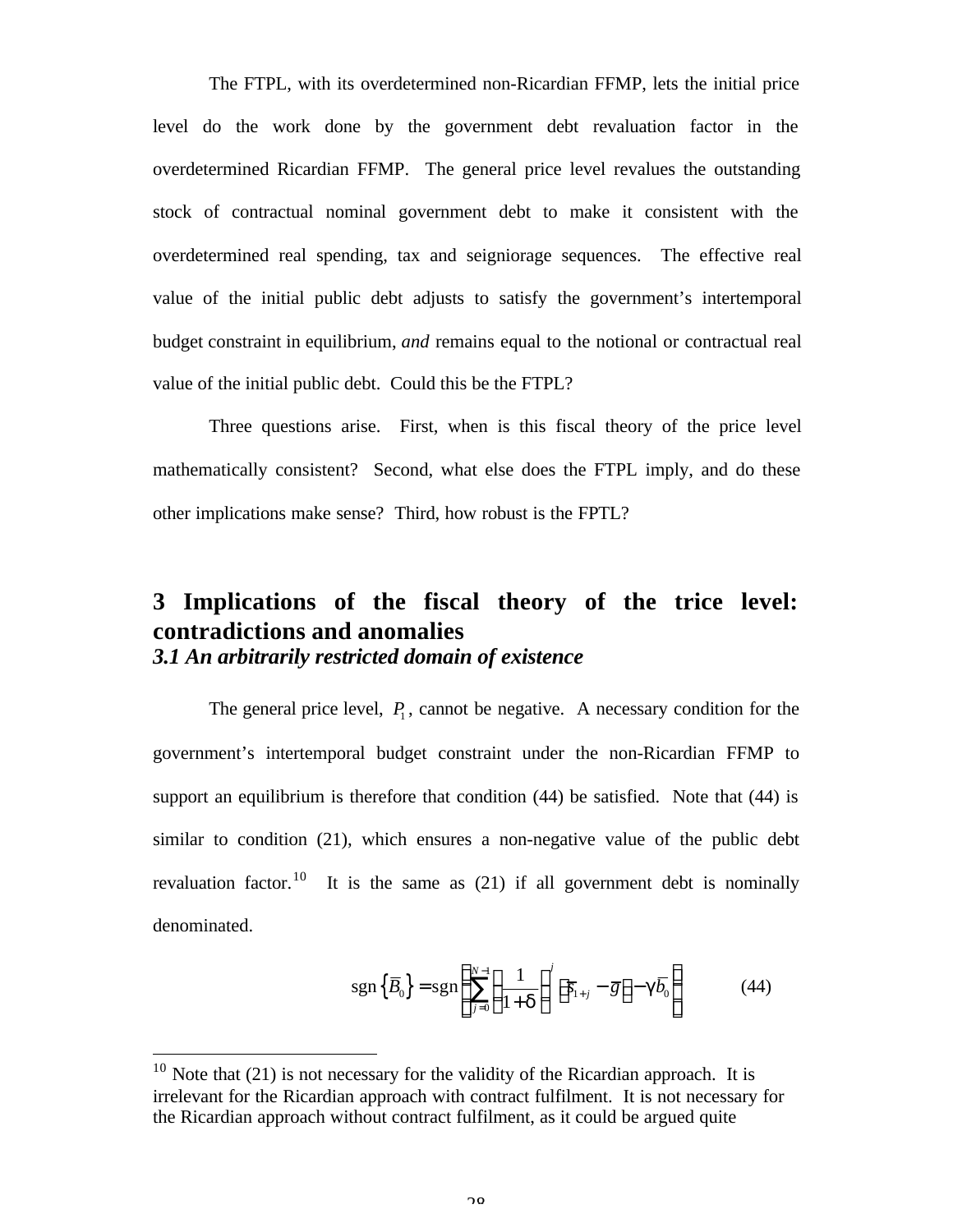The FTPL, with its overdetermined non-Ricardian FFMP, lets the initial price level do the work done by the government debt revaluation factor in the overdetermined Ricardian FFMP. The general price level revalues the outstanding stock of contractual nominal government debt to make it consistent with the overdetermined real spending, tax and seigniorage sequences. The effective real value of the initial public debt adjusts to satisfy the government's intertemporal budget constraint in equilibrium, *and* remains equal to the notional or contractual real value of the initial public debt. Could this be the FTPL?

Three questions arise. First, when is this fiscal theory of the price level mathematically consistent? Second, what else does the FTPL imply, and do these other implications make sense? Third, how robust is the FPTL?

# **3 Implications of the fiscal theory of the trice level: contradictions and anomalies** *3.1 An arbitrarily restricted domain of existence*

The general price level,  $P_1$ , cannot be negative. A necessary condition for the government's intertemporal budget constraint under the non-Ricardian FFMP to support an equilibrium is therefore that condition (44) be satisfied. Note that (44) is similar to condition (21), which ensures a non-negative value of the public debt revaluation factor.<sup>10</sup> It is the same as  $(21)$  if all government debt is nominally denominated.

$$
\operatorname{sgn}\left\{\overline{B}_{0}\right\} = \operatorname{sgn}\left\{\sum_{j=0}^{N-1} \left(\frac{1}{1+d}\right)^{j} \left[\overline{s}_{1+j} - \overline{g}\right] - \boldsymbol{g}\overline{b}_{0}\right\} \tag{44}
$$

 $\overline{a}$ 

 $10$  Note that (21) is not necessary for the validity of the Ricardian approach. It is irrelevant for the Ricardian approach with contract fulfilment. It is not necessary for the Ricardian approach without contract fulfilment, as it could be argued quite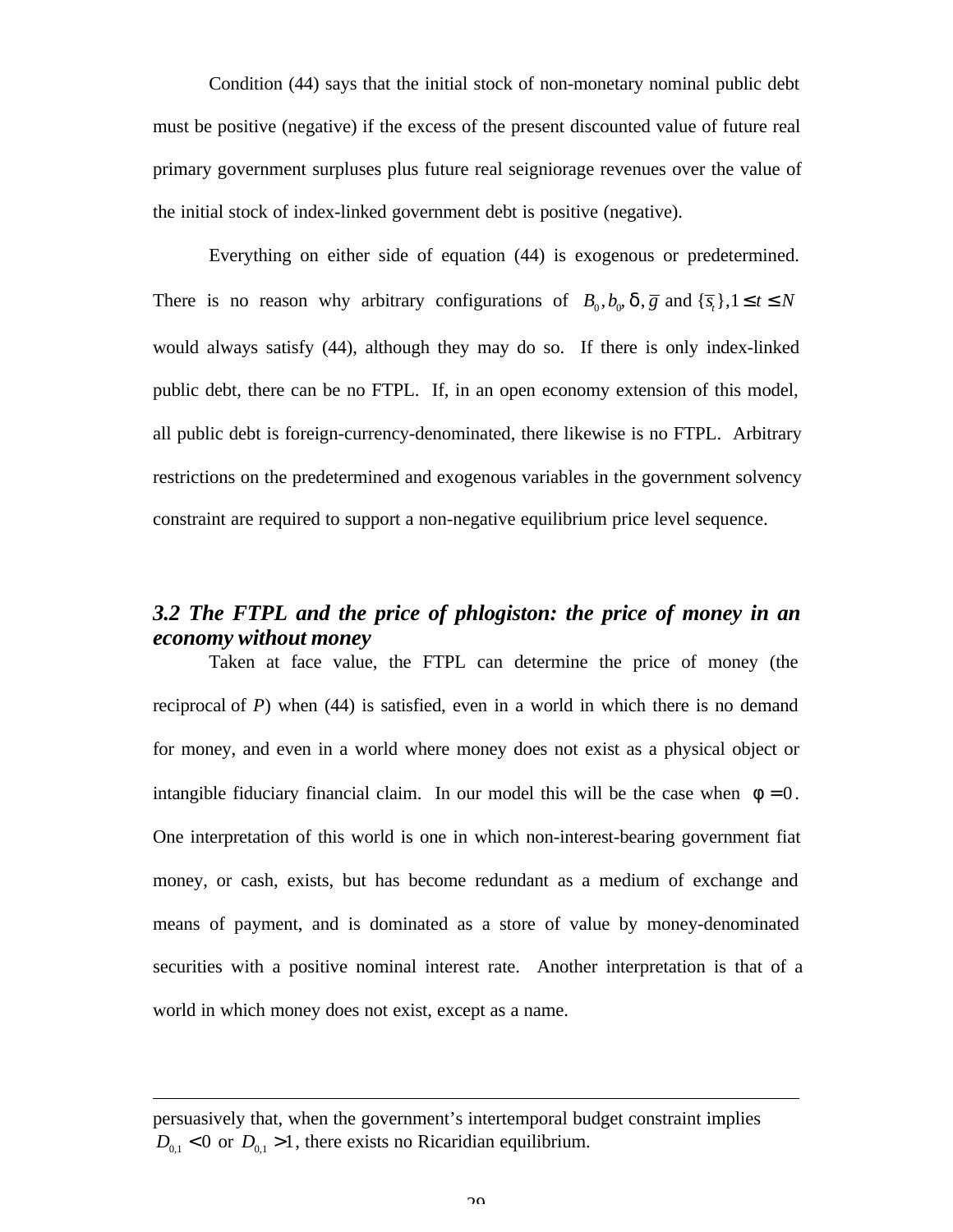Condition (44) says that the initial stock of non-monetary nominal public debt must be positive (negative) if the excess of the present discounted value of future real primary government surpluses plus future real seigniorage revenues over the value of the initial stock of index-linked government debt is positive (negative).

Everything on either side of equation (44) is exogenous or predetermined. There is no reason why arbitrary configurations of  $B_0$ ,  $b_0$ ,  $\mathbf{d}, \overline{g}$  and  $\{\overline{s}_t\}$ ,  $1 \le t \le N$ would always satisfy (44), although they may do so. If there is only index-linked public debt, there can be no FTPL. If, in an open economy extension of this model, all public debt is foreign-currency-denominated, there likewise is no FTPL. Arbitrary restrictions on the predetermined and exogenous variables in the government solvency constraint are required to support a non-negative equilibrium price level sequence.

# *3.2 The FTPL and the price of phlogiston: the price of money in an economy without money*

Taken at face value, the FTPL can determine the price of money (the reciprocal of *P*) when (44) is satisfied, even in a world in which there is no demand for money, and even in a world where money does not exist as a physical object or intangible fiduciary financial claim. In our model this will be the case when  $f=0$ . One interpretation of this world is one in which non-interest-bearing government fiat money, or cash, exists, but has become redundant as a medium of exchange and means of payment, and is dominated as a store of value by money-denominated securities with a positive nominal interest rate. Another interpretation is that of a world in which money does not exist, except as a name.

 $\overline{a}$ 

persuasively that, when the government's intertemporal budget constraint implies  $D_{0,1}$  < 0 or  $D_{0,1}$  > 1, there exists no Ricaridian equilibrium.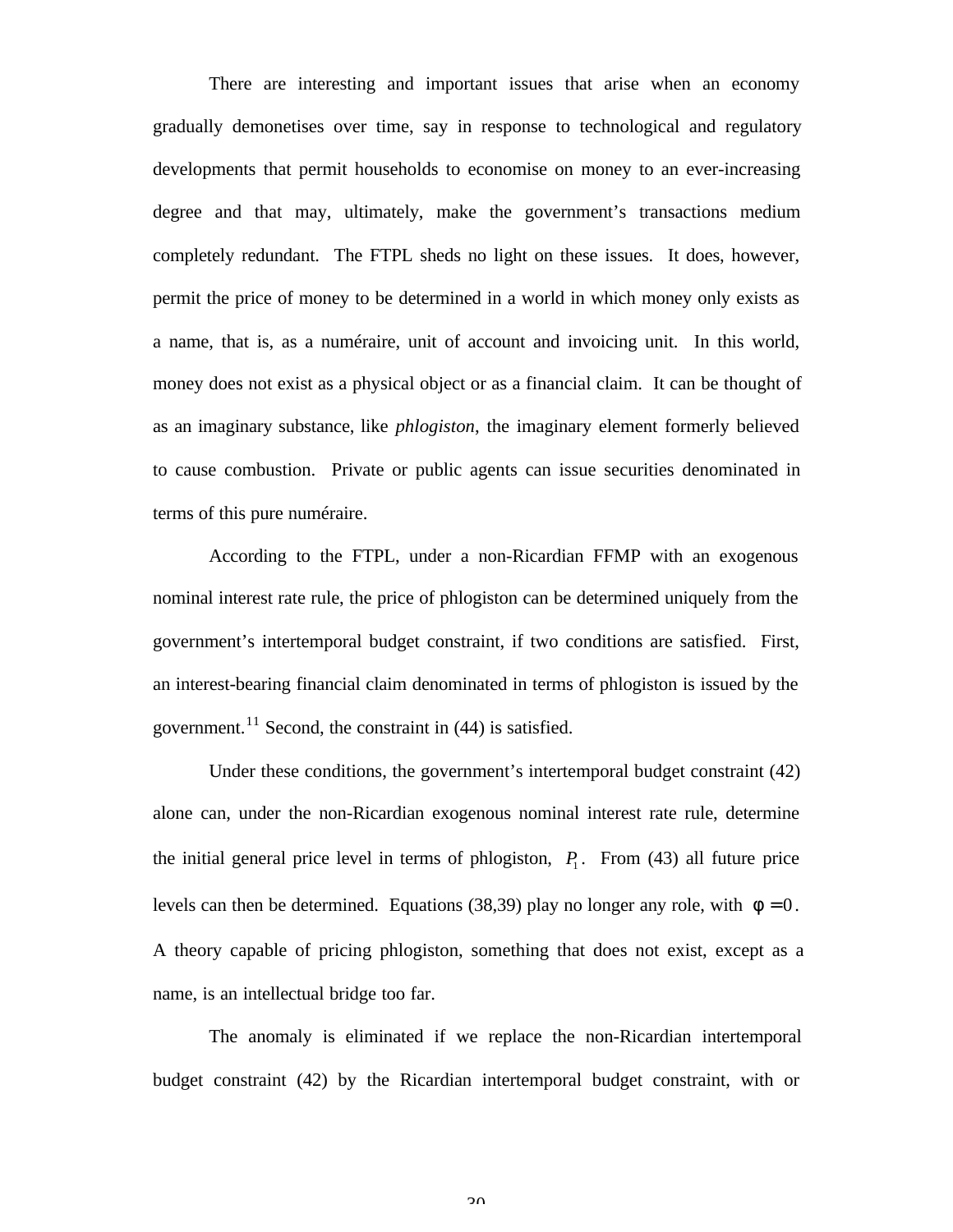There are interesting and important issues that arise when an economy gradually demonetises over time, say in response to technological and regulatory developments that permit households to economise on money to an ever-increasing degree and that may, ultimately, make the government's transactions medium completely redundant. The FTPL sheds no light on these issues. It does, however, permit the price of money to be determined in a world in which money only exists as a name, that is, as a numéraire, unit of account and invoicing unit. In this world, money does not exist as a physical object or as a financial claim. It can be thought of as an imaginary substance, like *phlogiston*, the imaginary element formerly believed to cause combustion. Private or public agents can issue securities denominated in terms of this pure numéraire.

According to the FTPL, under a non-Ricardian FFMP with an exogenous nominal interest rate rule, the price of phlogiston can be determined uniquely from the government's intertemporal budget constraint, if two conditions are satisfied. First, an interest-bearing financial claim denominated in terms of phlogiston is issued by the government.<sup>11</sup> Second, the constraint in  $(44)$  is satisfied.

Under these conditions, the government's intertemporal budget constraint (42) alone can, under the non-Ricardian exogenous nominal interest rate rule, determine the initial general price level in terms of phlogiston,  $P_1$ . From (43) all future price levels can then be determined. Equations (38,39) play no longer any role, with  $f = 0$ . A theory capable of pricing phlogiston, something that does not exist, except as a name, is an intellectual bridge too far.

The anomaly is eliminated if we replace the non-Ricardian intertemporal budget constraint (42) by the Ricardian intertemporal budget constraint, with or

 $2<sub>0</sub>$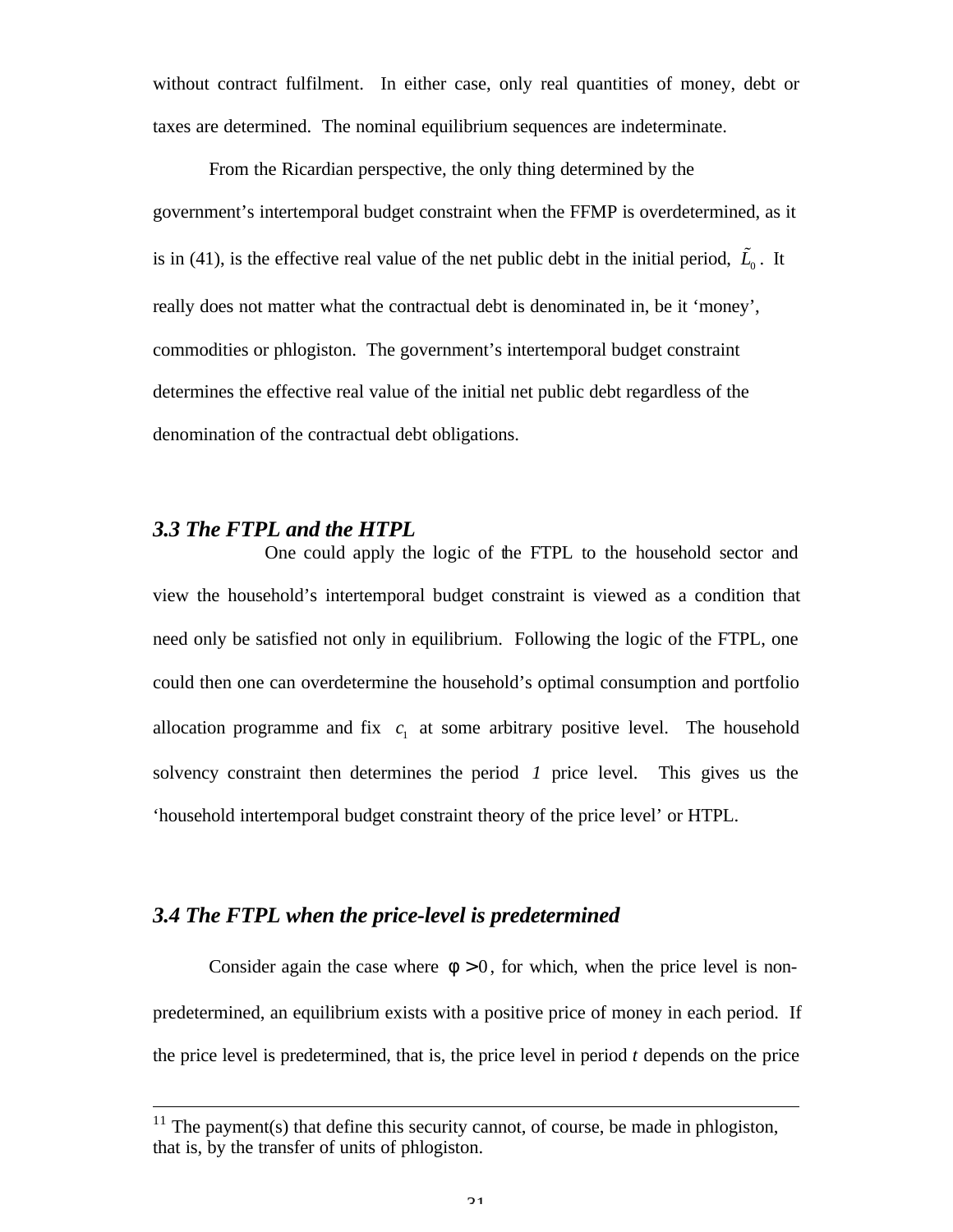without contract fulfilment. In either case, only real quantities of money, debt or taxes are determined. The nominal equilibrium sequences are indeterminate.

From the Ricardian perspective, the only thing determined by the government's intertemporal budget constraint when the FFMP is overdetermined, as it is in (41), is the effective real value of the net public debt in the initial period,  $\tilde{L}_0$ . It really does not matter what the contractual debt is denominated in, be it 'money', commodities or phlogiston. The government's intertemporal budget constraint determines the effective real value of the initial net public debt regardless of the denomination of the contractual debt obligations.

### *3.3 The FTPL and the HTPL*

 $\overline{a}$ 

One could apply the logic of the FTPL to the household sector and view the household's intertemporal budget constraint is viewed as a condition that need only be satisfied not only in equilibrium. Following the logic of the FTPL, one could then one can overdetermine the household's optimal consumption and portfolio allocation programme and fix  $c_1$  at some arbitrary positive level. The household solvency constraint then determines the period *1* price level. This gives us the 'household intertemporal budget constraint theory of the price level' or HTPL.

### *3.4 The FTPL when the price-level is predetermined*

Consider again the case where  $f > 0$ , for which, when the price level is nonpredetermined, an equilibrium exists with a positive price of money in each period. If the price level is predetermined, that is, the price level in period *t* depends on the price

 $11$  The payment(s) that define this security cannot, of course, be made in phlogiston, that is, by the transfer of units of phlogiston.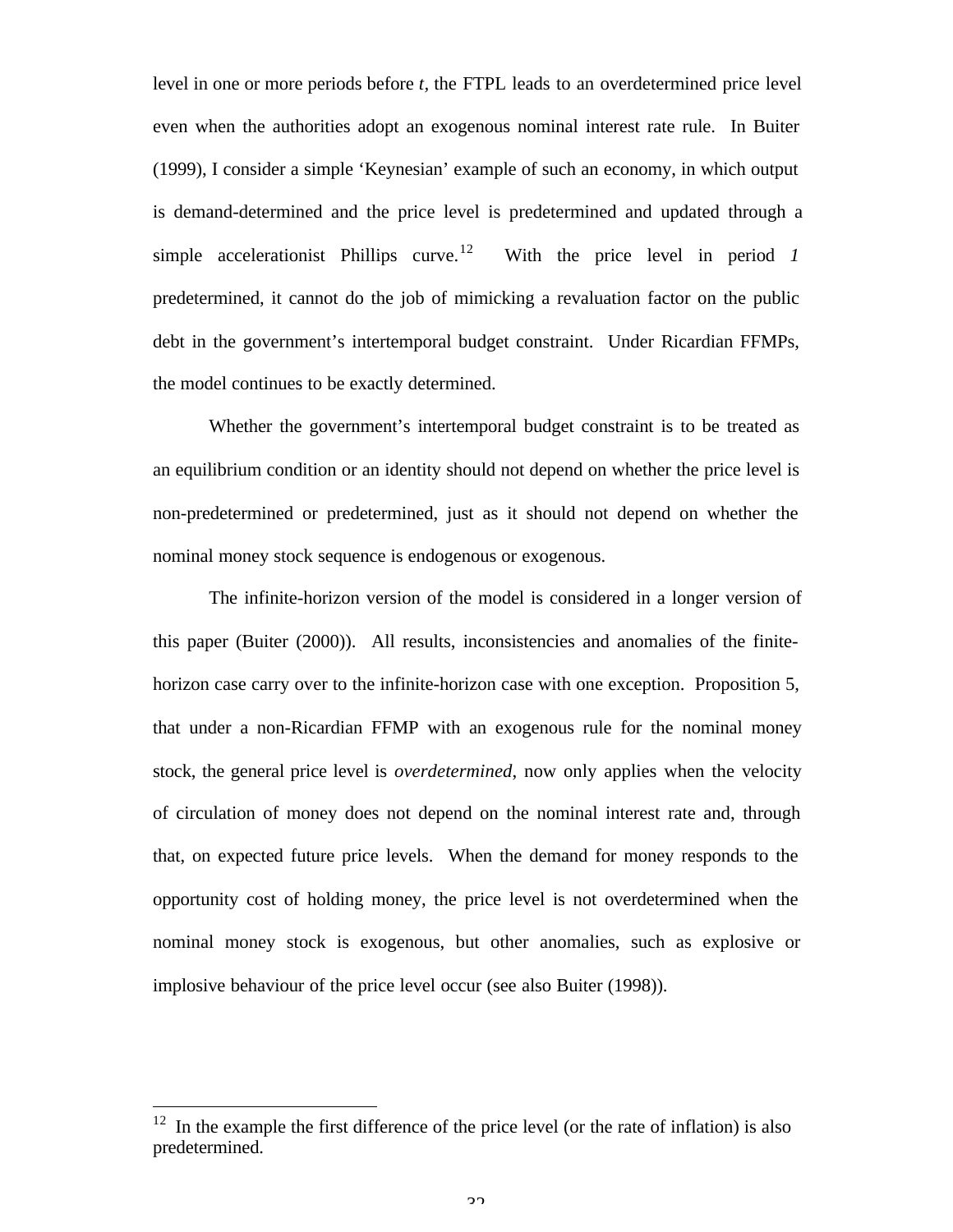level in one or more periods before *t,* the FTPL leads to an overdetermined price level even when the authorities adopt an exogenous nominal interest rate rule. In Buiter (1999), I consider a simple 'Keynesian' example of such an economy, in which output is demand-determined and the price level is predetermined and updated through a simple accelerationist Phillips curve.<sup>12</sup> With the price level in period *1* predetermined, it cannot do the job of mimicking a revaluation factor on the public debt in the government's intertemporal budget constraint. Under Ricardian FFMPs, the model continues to be exactly determined.

Whether the government's intertemporal budget constraint is to be treated as an equilibrium condition or an identity should not depend on whether the price level is non-predetermined or predetermined, just as it should not depend on whether the nominal money stock sequence is endogenous or exogenous.

The infinite-horizon version of the model is considered in a longer version of this paper (Buiter (2000)). All results, inconsistencies and anomalies of the finitehorizon case carry over to the infinite-horizon case with one exception. Proposition 5, that under a non-Ricardian FFMP with an exogenous rule for the nominal money stock, the general price level is *overdetermined*, now only applies when the velocity of circulation of money does not depend on the nominal interest rate and, through that, on expected future price levels. When the demand for money responds to the opportunity cost of holding money, the price level is not overdetermined when the nominal money stock is exogenous, but other anomalies, such as explosive or implosive behaviour of the price level occur (see also Buiter (1998)).

 $\overline{a}$ 

 $12$  In the example the first difference of the price level (or the rate of inflation) is also predetermined.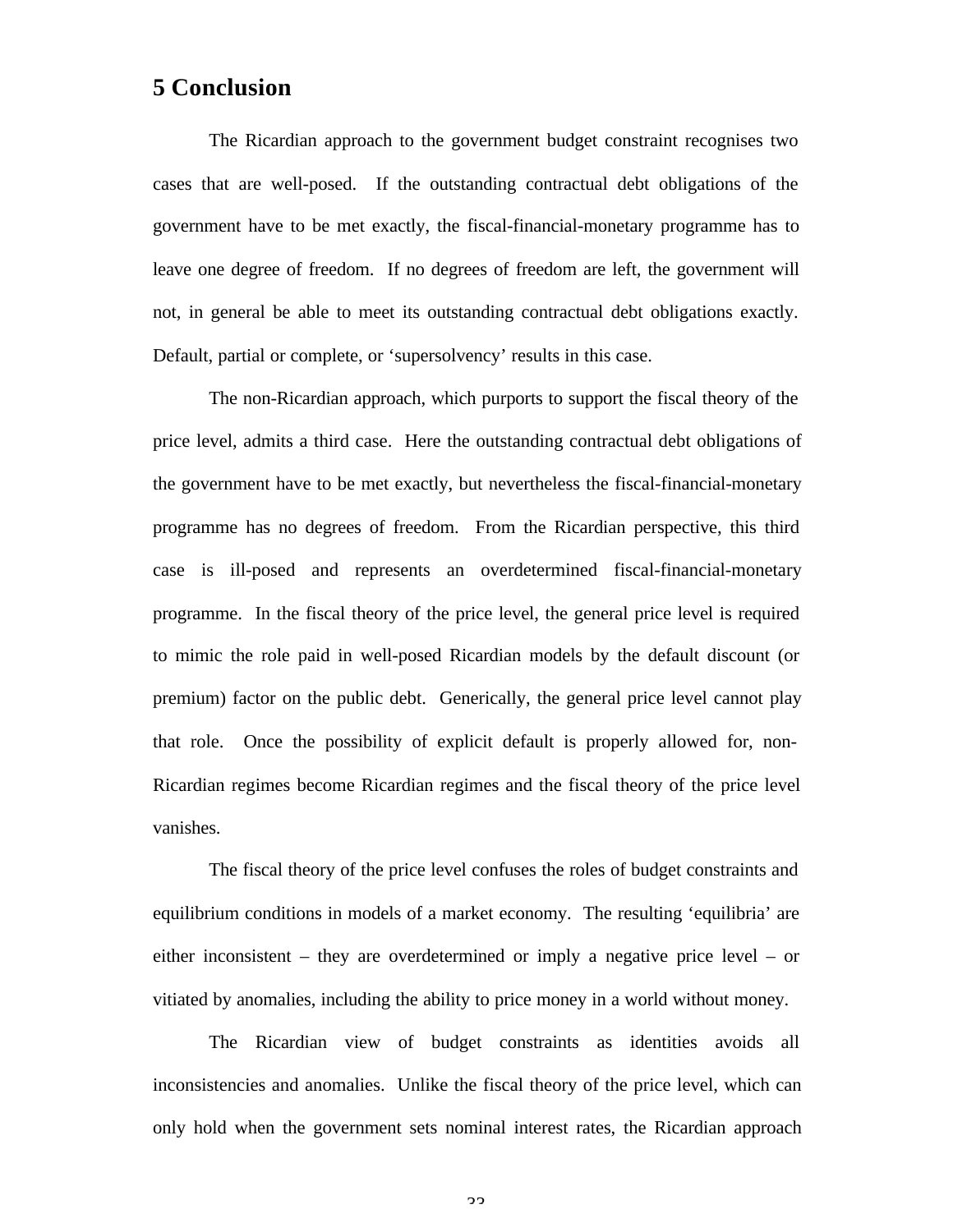### **5 Conclusion**

The Ricardian approach to the government budget constraint recognises two cases that are well-posed. If the outstanding contractual debt obligations of the government have to be met exactly, the fiscal-financial-monetary programme has to leave one degree of freedom. If no degrees of freedom are left, the government will not, in general be able to meet its outstanding contractual debt obligations exactly. Default, partial or complete, or 'supersolvency' results in this case.

The non-Ricardian approach, which purports to support the fiscal theory of the price level, admits a third case. Here the outstanding contractual debt obligations of the government have to be met exactly, but nevertheless the fiscal-financial-monetary programme has no degrees of freedom. From the Ricardian perspective, this third case is ill-posed and represents an overdetermined fiscal-financial-monetary programme. In the fiscal theory of the price level, the general price level is required to mimic the role paid in well-posed Ricardian models by the default discount (or premium) factor on the public debt. Generically, the general price level cannot play that role. Once the possibility of explicit default is properly allowed for, non-Ricardian regimes become Ricardian regimes and the fiscal theory of the price level vanishes.

The fiscal theory of the price level confuses the roles of budget constraints and equilibrium conditions in models of a market economy. The resulting 'equilibria' are either inconsistent – they are overdetermined or imply a negative price level – or vitiated by anomalies, including the ability to price money in a world without money.

The Ricardian view of budget constraints as identities avoids all inconsistencies and anomalies. Unlike the fiscal theory of the price level, which can only hold when the government sets nominal interest rates, the Ricardian approach

33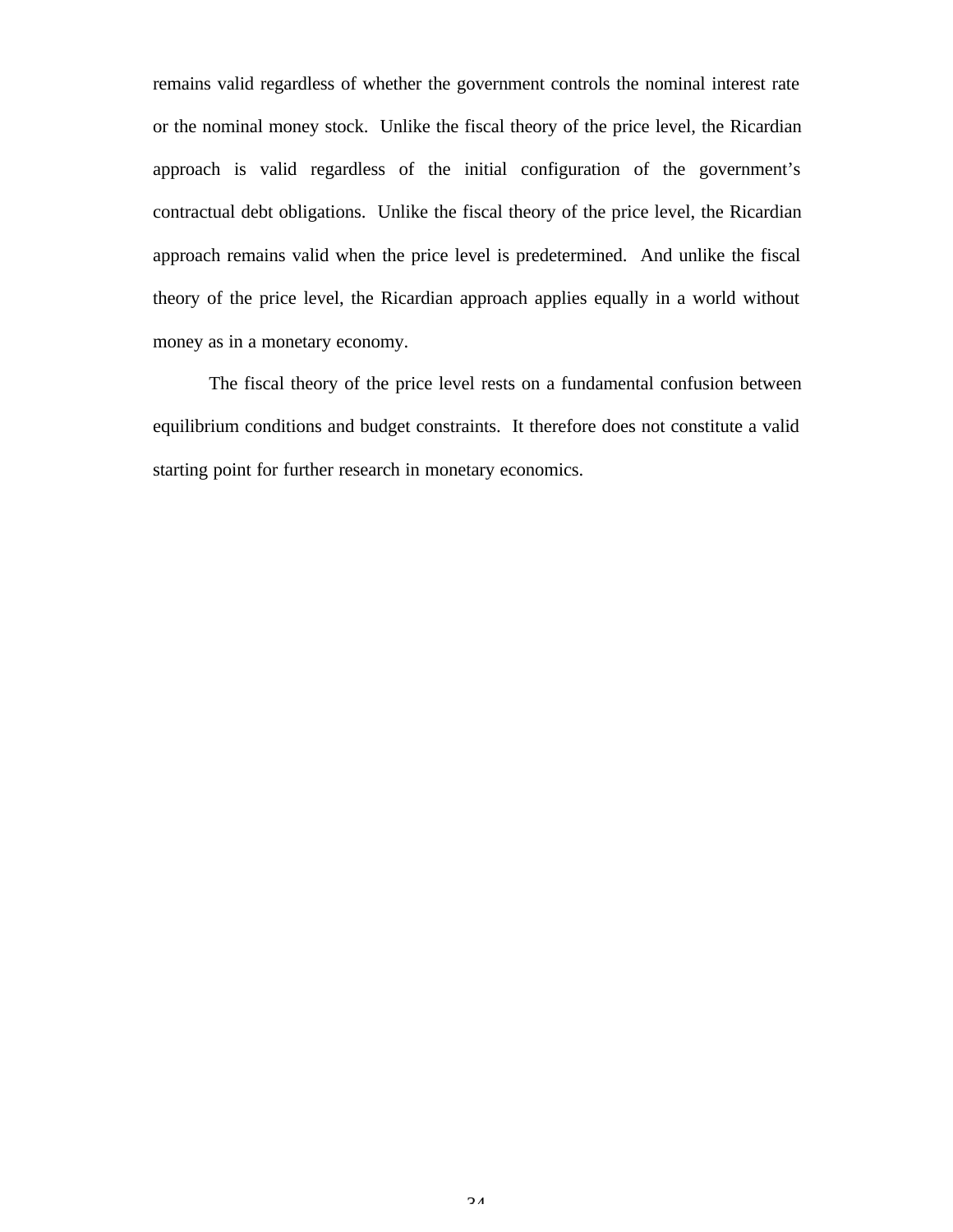remains valid regardless of whether the government controls the nominal interest rate or the nominal money stock. Unlike the fiscal theory of the price level, the Ricardian approach is valid regardless of the initial configuration of the government's contractual debt obligations. Unlike the fiscal theory of the price level, the Ricardian approach remains valid when the price level is predetermined. And unlike the fiscal theory of the price level, the Ricardian approach applies equally in a world without money as in a monetary economy.

The fiscal theory of the price level rests on a fundamental confusion between equilibrium conditions and budget constraints. It therefore does not constitute a valid starting point for further research in monetary economics.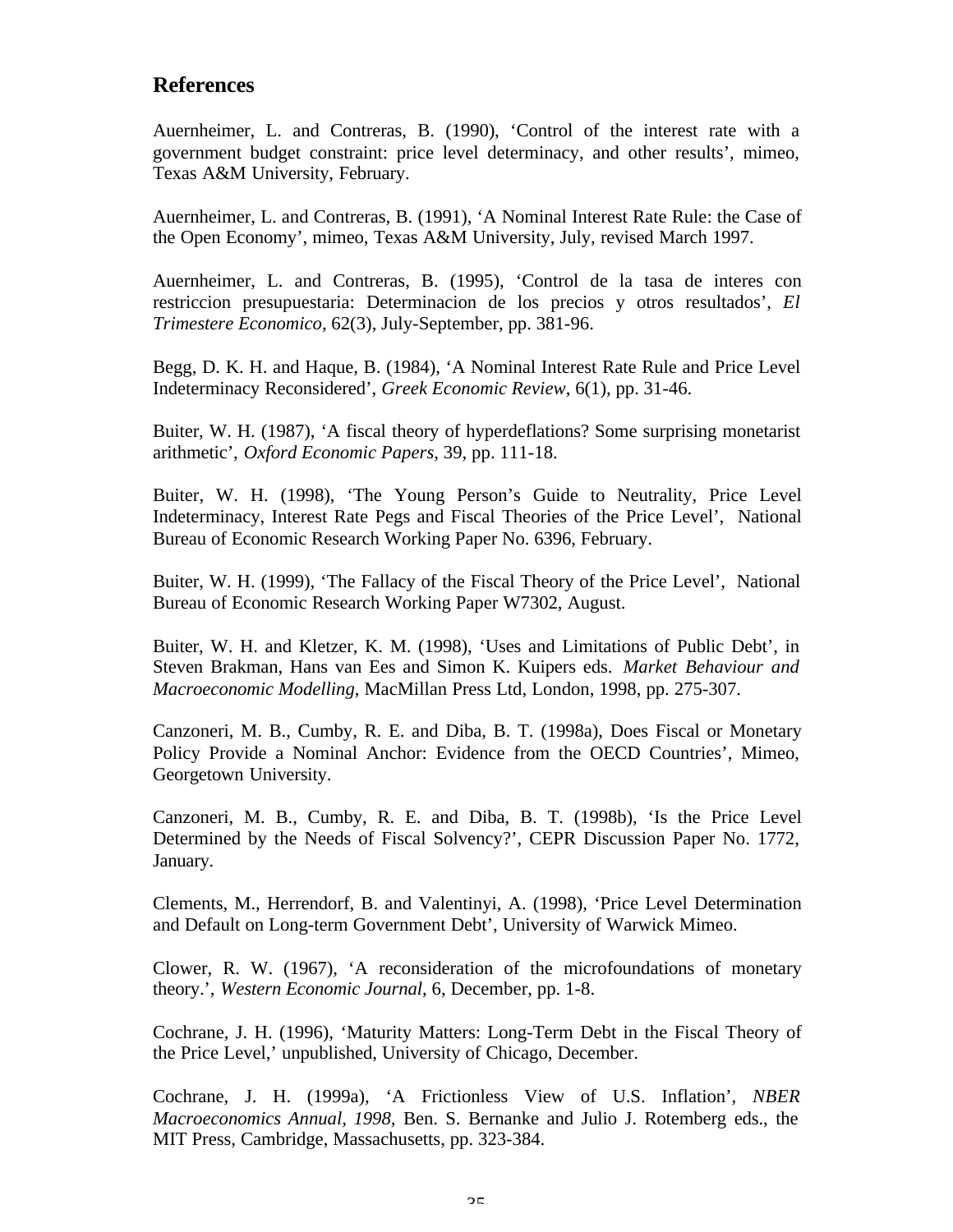### **References**

Auernheimer, L. and Contreras, B. (1990), 'Control of the interest rate with a government budget constraint: price level determinacy, and other results', mimeo, Texas A&M University, February.

Auernheimer, L. and Contreras, B. (1991), 'A Nominal Interest Rate Rule: the Case of the Open Economy', mimeo, Texas A&M University, July, revised March 1997.

Auernheimer, L. and Contreras, B. (1995), 'Control de la tasa de interes con restriccion presupuestaria: Determinacion de los precios y otros resultados', *El Trimestere Economico*, 62(3), July-September, pp. 381-96.

Begg, D. K. H. and Haque, B. (1984), 'A Nominal Interest Rate Rule and Price Level Indeterminacy Reconsidered', *Greek Economic Review*, 6(1), pp. 31-46.

Buiter, W. H. (1987), 'A fiscal theory of hyperdeflations? Some surprising monetarist arithmetic', *Oxford Economic Papers*, 39, pp. 111-18.

Buiter, W. H. (1998), 'The Young Person's Guide to Neutrality, Price Level Indeterminacy, Interest Rate Pegs and Fiscal Theories of the Price Level', National Bureau of Economic Research Working Paper No. 6396, February.

Buiter, W. H. (1999), 'The Fallacy of the Fiscal Theory of the Price Level', National Bureau of Economic Research Working Paper W7302, August.

Buiter, W. H. and Kletzer, K. M. (1998), 'Uses and Limitations of Public Debt', in Steven Brakman, Hans van Ees and Simon K. Kuipers eds. *Market Behaviour and Macroeconomic Modelling*, MacMillan Press Ltd, London, 1998, pp. 275-307.

Canzoneri, M. B., Cumby, R. E. and Diba, B. T. (1998a), Does Fiscal or Monetary Policy Provide a Nominal Anchor: Evidence from the OECD Countries', Mimeo, Georgetown University.

Canzoneri, M. B., Cumby, R. E. and Diba, B. T. (1998b), 'Is the Price Level Determined by the Needs of Fiscal Solvency?', CEPR Discussion Paper No. 1772, January.

Clements, M., Herrendorf, B. and Valentinyi, A. (1998), 'Price Level Determination and Default on Long-term Government Debt', University of Warwick Mimeo.

Clower, R. W. (1967), 'A reconsideration of the microfoundations of monetary theory.', *Western Economic Journal*, 6, December, pp. 1-8.

Cochrane, J. H. (1996), 'Maturity Matters: Long-Term Debt in the Fiscal Theory of the Price Level,' unpublished, University of Chicago, December.

Cochrane, J. H. (1999a), 'A Frictionless View of U.S. Inflation', *NBER Macroeconomics Annual, 1998,* Ben. S. Bernanke and Julio J. Rotemberg eds., the MIT Press, Cambridge, Massachusetts, pp. 323-384.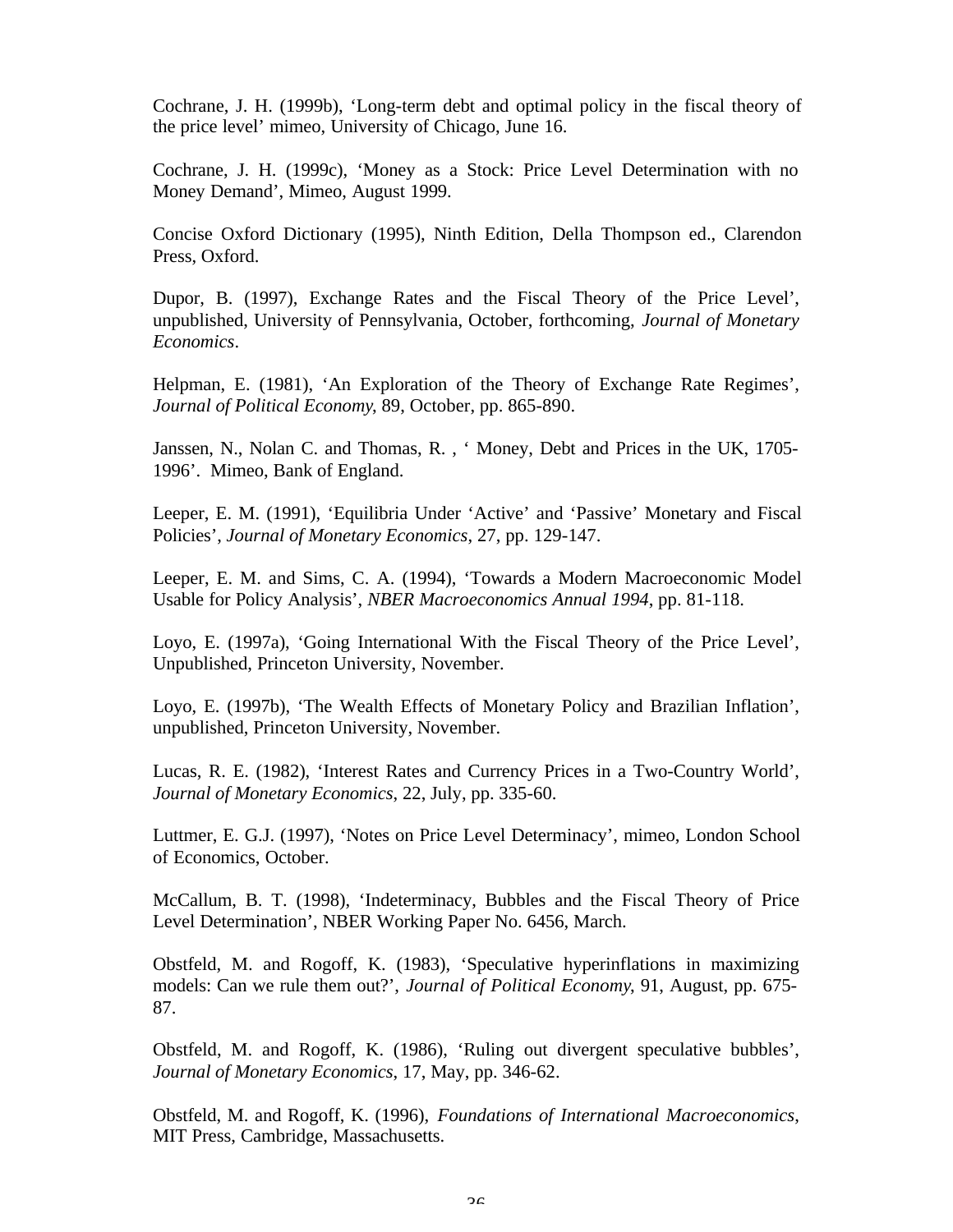Cochrane, J. H. (1999b), 'Long-term debt and optimal policy in the fiscal theory of the price level' mimeo, University of Chicago, June 16.

Cochrane, J. H. (1999c), 'Money as a Stock: Price Level Determination with no Money Demand', Mimeo, August 1999.

Concise Oxford Dictionary (1995), Ninth Edition, Della Thompson ed., Clarendon Press, Oxford.

Dupor, B. (1997), Exchange Rates and the Fiscal Theory of the Price Level', unpublished, University of Pennsylvania, October, forthcoming, *Journal of Monetary Economics*.

Helpman, E. (1981), 'An Exploration of the Theory of Exchange Rate Regimes', *Journal of Political Economy*, 89, October, pp. 865-890.

Janssen, N., Nolan C. and Thomas, R. , ' Money, Debt and Prices in the UK, 1705- 1996'. Mimeo, Bank of England.

Leeper, E. M. (1991), 'Equilibria Under 'Active' and 'Passive' Monetary and Fiscal Policies', *Journal of Monetary Economics*, 27, pp. 129-147.

Leeper, E. M. and Sims, C. A. (1994), 'Towards a Modern Macroeconomic Model Usable for Policy Analysis', *NBER Macroeconomics Annual 1994*, pp. 81-118.

Loyo, E. (1997a), 'Going International With the Fiscal Theory of the Price Level', Unpublished, Princeton University, November.

Loyo, E. (1997b), 'The Wealth Effects of Monetary Policy and Brazilian Inflation', unpublished, Princeton University, November.

Lucas, R. E. (1982), 'Interest Rates and Currency Prices in a Two-Country World', *Journal of Monetary Economics*, 22, July, pp. 335-60.

Luttmer, E. G.J. (1997), 'Notes on Price Level Determinacy', mimeo, London School of Economics, October.

McCallum, B. T. (1998), 'Indeterminacy, Bubbles and the Fiscal Theory of Price Level Determination', NBER Working Paper No. 6456, March.

Obstfeld, M. and Rogoff, K. (1983), 'Speculative hyperinflations in maximizing models: Can we rule them out?', *Journal of Political Economy*, 91, August, pp. 675- 87.

Obstfeld, M. and Rogoff, K. (1986), 'Ruling out divergent speculative bubbles', *Journal of Monetary Economics*, 17, May, pp. 346-62.

Obstfeld, M. and Rogoff, K. (1996), *Foundations of International Macroeconomics*, MIT Press, Cambridge, Massachusetts.